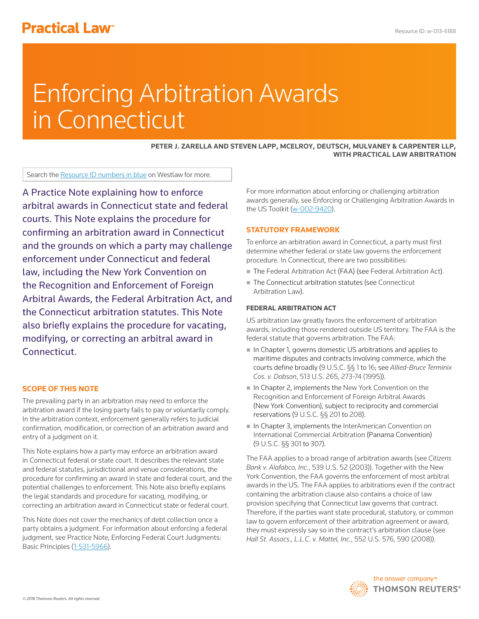# **Practical Law<sup>®</sup>**

# Enforcing Arbitration Awards in Connecticut

**[PETER J. ZARELLA](http://www.mdmc-law.com/attorneys/Peter_J_Zarella/) AND [STEVEN LAPP](http://www.mdmc-law.com/attorneys/Steven__Lapp/), [MCELROY, DEUTSCH, MULVANEY & CARPENTER LLP](http://www.mdmc-law.com/), WITH PRACTICAL LAW ARBITRATION**

Search the Resource ID numbers in blue on Westlaw for more.

A Practice Note explaining how to enforce arbitral awards in Connecticut state and federal courts. This Note explains the procedure for confirming an arbitration award in Connecticut and the grounds on which a party may challenge enforcement under Connecticut and federal law, including the New York Convention on the Recognition and Enforcement of Foreign Arbitral Awards, the Federal Arbitration Act, and the Connecticut arbitration statutes. This Note also briefly explains the procedure for vacating, modifying, or correcting an arbitral award in Connecticut.

# **SCOPE OF THIS NOTE**

The prevailing party in an [arbitration](http://www.westlaw.com/Document/I0f9fbdfdef0811e28578f7ccc38dcbee/View/FullText.html?originationContext=document&vr=3.0&rs=cblt1.0&transitionType=DocumentItem&contextData=(sc.Search)) may need to enforce the arbitration award if the losing party fails to pay or voluntarily comply. In the arbitration context, enforcement generally refers to judicial confirmation, modification, or correction of an arbitration award and entry of a judgment on it.

This Note explains how a party may enforce an arbitration award in Connecticut federal or state court. It describes the relevant state and federal statutes, jurisdictional and venue considerations, the procedure for confirming an award in state and federal court, and the potential challenges to enforcement. This Note also briefly explains the legal standards and procedure for vacating, modifying, or correcting an arbitration award in Connecticut state or federal court.

This Note does not cover the mechanics of debt collection once a party obtains a judgment. For information about enforcing a federal judgment, see [Practice Note, Enforcing Federal Court Judgments:](http://www.westlaw.com/Document/I2929e4a6642311e38578f7ccc38dcbee/View/FullText.html?originationContext=document&vr=3.0&rs=cblt1.0&transitionType=DocumentItem&contextData=(sc.Search))  [Basic Principles](http://www.westlaw.com/Document/I2929e4a6642311e38578f7ccc38dcbee/View/FullText.html?originationContext=document&vr=3.0&rs=cblt1.0&transitionType=DocumentItem&contextData=(sc.Search)) (1-531-5966).

For more information about enforcing or challenging arbitration awards generally, see [Enforcing or Challenging Arbitration Awards in](http://www.westlaw.com/Document/Iffe6a1e459c611e698dc8b09b4f043e0/View/FullText.html?originationContext=document&vr=3.0&rs=cblt1.0&transitionType=DocumentItem&contextData=(sc.Search))  [the US Toolkit](http://www.westlaw.com/Document/Iffe6a1e459c611e698dc8b09b4f043e0/View/FullText.html?originationContext=document&vr=3.0&rs=cblt1.0&transitionType=DocumentItem&contextData=(sc.Search)) (w-002-9420).

# **STATUTORY FRAMEWORK**

To enforce an arbitration award in Connecticut, a party must first determine whether federal or state law governs the enforcement procedure. In Connecticut, there are two possibilities:

- The [Federal Arbitration Act](http://www.westlaw.com/Document/Ibb0a1216ef0511e28578f7ccc38dcbee/View/FullText.html?originationContext=document&vr=3.0&rs=cblt1.0&transitionType=DocumentItem&contextData=(sc.Search)) (FAA) (see [Federal Arbitration Act\)](file:///Volumes/composition/Data/Incoming/Thomson%20Reuter/2018/041918/#co_anchor_a000003_1).
- The [Connecticut](file:///Volumes/composition/Data/Incoming/Thomson%20Reuter/2018/041918/#co_anchor_a000007_1) arbitration statutes (see Connecticut [Arbitration Law\)](file:///Volumes/composition/Data/Incoming/Thomson%20Reuter/2018/041918/#co_anchor_a000007_1).

# **FEDERAL ARBITRATION ACT**

US arbitration law greatly favors the enforcement of arbitration awards, including those rendered outside US territory. The FAA is the federal statute that governs arbitration. The FAA:

- In Chapter 1, governs domestic US arbitrations and applies to maritime disputes and contracts involving commerce, which the courts define broadly ([9 U.S.C. §§ 1](http://www.westlaw.com/Link/Document/FullText?findType=L&pubNum=1000546&cite=9USCAS1&originatingDoc=I6200884823a411e89bf099c0ee06c731&refType=LQ&originationContext=document&vr=3.0&rs=cblt1.0&transitionType=PLDocumentLink&billingHash=ACBAFC4DA3DA3506C9AB9417EE522E6209A75BE818324111EB143CB989232858&contextData=(sc.Search)) to [16](http://www.westlaw.com/Link/Document/FullText?findType=L&pubNum=1000546&cite=9USCAS16&originatingDoc=I6200884823a411e89bf099c0ee06c731&refType=LQ&originationContext=document&vr=3.0&rs=cblt1.0&transitionType=PLDocumentLink&billingHash=C8191F9A1DAC59457E5658F0C013CA43F51293BEB1630D4C4FF5DE454ACE5F6B&contextData=(sc.Search)); see *[Allied-Bruce Terminix](http://www.westlaw.com/Link/Document/FullText?findType=Y&serNum=1995030814&pubNum=0000780&originatingDoc=I6200884823a411e89bf099c0ee06c731&refType=RP&fi=co_pp_sp_780_273&originationContext=document&vr=3.0&rs=cblt1.0&transitionType=PLDocumentLink&billingHash=A159FEE083AF9EC29781E0B919480FCE4A33B623ED823015059D11E67FC8A8B9&contextData=(sc.Search)#co_pp_sp_780_273)  Cos. v. Dobson*[, 513 U.S. 265, 273-74 \(1995\)](http://www.westlaw.com/Link/Document/FullText?findType=Y&serNum=1995030814&pubNum=0000780&originatingDoc=I6200884823a411e89bf099c0ee06c731&refType=RP&fi=co_pp_sp_780_273&originationContext=document&vr=3.0&rs=cblt1.0&transitionType=PLDocumentLink&billingHash=A159FEE083AF9EC29781E0B919480FCE4A33B623ED823015059D11E67FC8A8B9&contextData=(sc.Search)#co_pp_sp_780_273)).
- In Chapter 2, implements the New York Convention on the [Recognition and Enforcement of Foreign Arbitral Awards](http://www.westlaw.com/Document/I0f9fc04cef0811e28578f7ccc38dcbee/View/FullText.html?originationContext=document&vr=3.0&rs=cblt1.0&transitionType=DocumentItem&contextData=(sc.Search)) (New York Convention), subject to reciprocity and commercial reservations [\(9 U.S.C. §§ 201](http://www.westlaw.com/Link/Document/FullText?findType=L&pubNum=1000546&cite=9USCAS201&originatingDoc=I6200884823a411e89bf099c0ee06c731&refType=LQ&originationContext=document&vr=3.0&rs=cblt1.0&transitionType=PLDocumentLink&billingHash=BBC34430BCBD08B5A2CA00088D4374C07CE0BFE4FA2DBFA4C92F91E3F064D65A&contextData=(sc.Search)) to [208\)](http://www.westlaw.com/Link/Document/FullText?findType=L&pubNum=1000546&cite=9USCAS208&originatingDoc=I6200884823a411e89bf099c0ee06c731&refType=LQ&originationContext=document&vr=3.0&rs=cblt1.0&transitionType=PLDocumentLink&billingHash=80B1EEC05942B0FDF43A4E356A63E11026596C95478A9CE527D58EDC4E4243FC&contextData=(sc.Search)).
- In Chapter 3, implements the InterAmerican Convention on [International Commercial Arbitration](http://www.westlaw.com/Document/I43e1a8c11c9a11e38578f7ccc38dcbee/View/FullText.html?originationContext=document&vr=3.0&rs=cblt1.0&transitionType=DocumentItem&contextData=(sc.Search)) (Panama Convention) [\(9 U.S.C. §§ 301](http://www.westlaw.com/Link/Document/FullText?findType=L&pubNum=1000546&cite=9USCAS301&originatingDoc=I6200884823a411e89bf099c0ee06c731&refType=LQ&originationContext=document&vr=3.0&rs=cblt1.0&transitionType=PLDocumentLink&billingHash=D9E1CC2E54A9C2DB6191BAF403E04A2DF730BED31AE17577F4004EEA4A958F31&contextData=(sc.Search)) to [307\)](http://www.westlaw.com/Link/Document/FullText?findType=L&pubNum=1000546&cite=9USCAS307&originatingDoc=I6200884823a411e89bf099c0ee06c731&refType=LQ&originationContext=document&vr=3.0&rs=cblt1.0&transitionType=PLDocumentLink&billingHash=B635A0B6D87F4D6E00F0366301A34369E05B2DD3041A1314E9FA09E96A07458B&contextData=(sc.Search)).

The FAA applies to a broad range of arbitration awards (see *[Citizens](http://www.westlaw.com/Link/Document/FullText?findType=Y&serNum=2003391209&pubNum=0000780&originatingDoc=I6200884823a411e89bf099c0ee06c731&refType=RP&originationContext=document&vr=3.0&rs=cblt1.0&transitionType=PLDocumentLink&billingHash=80EE9BBBF4BCFDC73C5B3B022245365BECF13A66C006F89087587EB0BB36BD5A&contextData=(sc.Search))  [Bank v. Alafabco, Inc.](http://www.westlaw.com/Link/Document/FullText?findType=Y&serNum=2003391209&pubNum=0000780&originatingDoc=I6200884823a411e89bf099c0ee06c731&refType=RP&originationContext=document&vr=3.0&rs=cblt1.0&transitionType=PLDocumentLink&billingHash=80EE9BBBF4BCFDC73C5B3B022245365BECF13A66C006F89087587EB0BB36BD5A&contextData=(sc.Search))*, 539 U.S. 52 (2003)). Together with the New York Convention, the FAA governs the enforcement of most arbitral awards in the US. The FAA applies to arbitrations even if the contract containing the arbitration clause also contains a choice of law provision specifying that Connecticut law governs that contract. Therefore, if the parties want state procedural, statutory, or common law to govern enforcement of their arbitration agreement or award, they must expressly say so in the contract's arbitration clause (see *[Hall St. Assocs., L.L.C. v. Mattel, Inc.](http://www.westlaw.com/Link/Document/FullText?findType=Y&serNum=2015553668&pubNum=0000780&originatingDoc=I6200884823a411e89bf099c0ee06c731&refType=RP&fi=co_pp_sp_780_590&originationContext=document&vr=3.0&rs=cblt1.0&transitionType=PLDocumentLink&billingHash=AC35F6ED31A24662319E64260D92EF8C75B3AB89D9FE8C637BAE04A62F60D98E&contextData=(sc.Search)#co_pp_sp_780_590)*, 552 U.S. 576, 590 (2008)).

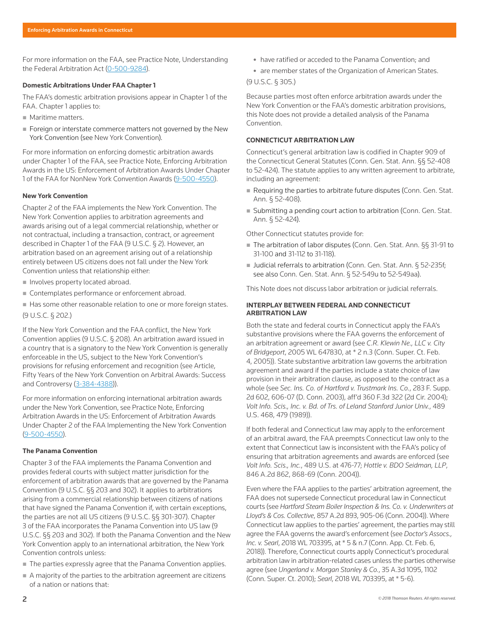For more information on the FAA, see [Practice Note, Understanding](http://www.westlaw.com/Document/I0f9fc0b4ef0811e28578f7ccc38dcbee/View/FullText.html?originationContext=document&vr=3.0&rs=cblt1.0&transitionType=DocumentItem&contextData=(sc.Search))  [the Federal Arbitration Act](http://www.westlaw.com/Document/I0f9fc0b4ef0811e28578f7ccc38dcbee/View/FullText.html?originationContext=document&vr=3.0&rs=cblt1.0&transitionType=DocumentItem&contextData=(sc.Search)) (0-500-9284).

#### **Domestic Arbitrations Under FAA Chapter 1**

The FAA's domestic arbitration provisions appear in Chapter 1 of the FAA. Chapter 1 applies to:

- **Maritime matters.**
- Foreign or interstate commerce matters not governed by the New York Convention (see [New York Convention](file:///Volumes/composition/Data/Incoming/Thomson%20Reuter/2018/041918/#co_anchor_a000005_1)).

For more information on enforcing domestic arbitration awards under Chapter 1 of the FAA, see [Practice Note, Enforcing Arbitration](http://www.westlaw.com/Document/I0f9fc048ef0811e28578f7ccc38dcbee/View/FullText.html?originationContext=document&vr=3.0&rs=cblt1.0&transitionType=DocumentItem&contextData=(sc.Search)#co_anchor_a454852)  [Awards in the US: Enforcement of Arbitration Awards Under Chapter](http://www.westlaw.com/Document/I0f9fc048ef0811e28578f7ccc38dcbee/View/FullText.html?originationContext=document&vr=3.0&rs=cblt1.0&transitionType=DocumentItem&contextData=(sc.Search)#co_anchor_a454852)  [1 of the FAA for NonNew York Convention Awards](http://www.westlaw.com/Document/I0f9fc048ef0811e28578f7ccc38dcbee/View/FullText.html?originationContext=document&vr=3.0&rs=cblt1.0&transitionType=DocumentItem&contextData=(sc.Search)#co_anchor_a454852) (9-500-4550).

#### **New York Convention**

Chapter 2 of the FAA implements the New York Convention. The New York Convention applies to arbitration agreements and awards arising out of a legal commercial relationship, whether or not contractual, including a transaction, contract, or agreement described in Chapter 1 of the FAA [\(9 U.S.C. § 2](http://www.westlaw.com/Link/Document/FullText?findType=L&pubNum=1000546&cite=9USCAS2&originatingDoc=I6200884823a411e89bf099c0ee06c731&refType=LQ&originationContext=document&vr=3.0&rs=cblt1.0&transitionType=PLDocumentLink&billingHash=0752ED4C2A16292A6503FB49B8AEC9A0923C05A6073DAF33D4C8823FDC3EF458&contextData=(sc.Search))). However, an arbitration based on an agreement arising out of a relationship entirely between US citizens does not fall under the New York Convention unless that relationship either:

- Involves property located abroad.
- Contemplates performance or enforcement abroad.
- Has some other reasonable relation to one or more foreign states. [\(9 U.S.C. § 202](http://www.westlaw.com/Link/Document/FullText?findType=L&pubNum=1000546&cite=9USCAS202&originatingDoc=I6200884823a411e89bf099c0ee06c731&refType=LQ&originationContext=document&vr=3.0&rs=cblt1.0&transitionType=PLDocumentLink&billingHash=6EFB032B309375972F7DCFAB8397C1326F3DECF6B6EE8AD2ECB4E40F2BFFC693&contextData=(sc.Search)).)

If the New York Convention and the FAA conflict, the New York Convention applies [\(9 U.S.C. § 208\)](http://www.westlaw.com/Link/Document/FullText?findType=L&pubNum=1000546&cite=9USCAS208&originatingDoc=I6200884823a411e89bf099c0ee06c731&refType=LQ&originationContext=document&vr=3.0&rs=cblt1.0&transitionType=PLDocumentLink&billingHash=80B1EEC05942B0FDF43A4E356A63E11026596C95478A9CE527D58EDC4E4243FC&contextData=(sc.Search)). An arbitration award issued in a country that is a signatory to the New York Convention is generally enforceable in the US, subject to the New York Convention's provisions for refusing enforcement and recognition (see [Article,](http://www.westlaw.com/Document/I43e21ff51c9a11e38578f7ccc38dcbee/View/FullText.html?originationContext=document&vr=3.0&rs=cblt1.0&transitionType=DocumentItem&contextData=(sc.Search))  [Fifty Years of the New York Convention on Arbitral Awards: Success](http://www.westlaw.com/Document/I43e21ff51c9a11e38578f7ccc38dcbee/View/FullText.html?originationContext=document&vr=3.0&rs=cblt1.0&transitionType=DocumentItem&contextData=(sc.Search))  [and Controversy](http://www.westlaw.com/Document/I43e21ff51c9a11e38578f7ccc38dcbee/View/FullText.html?originationContext=document&vr=3.0&rs=cblt1.0&transitionType=DocumentItem&contextData=(sc.Search)) (3-384-4388)).

For more information on enforcing international arbitration awards under the New York Convention, see [Practice Note, Enforcing](http://www.westlaw.com/Document/I0f9fc048ef0811e28578f7ccc38dcbee/View/FullText.html?originationContext=document&vr=3.0&rs=cblt1.0&transitionType=DocumentItem&contextData=(sc.Search)#co_anchor_a308396)  [Arbitration Awards in the US: Enforcement of Arbitration Awards](http://www.westlaw.com/Document/I0f9fc048ef0811e28578f7ccc38dcbee/View/FullText.html?originationContext=document&vr=3.0&rs=cblt1.0&transitionType=DocumentItem&contextData=(sc.Search)#co_anchor_a308396)  [Under Chapter 2 of the FAA Implementing the New York Convention](http://www.westlaw.com/Document/I0f9fc048ef0811e28578f7ccc38dcbee/View/FullText.html?originationContext=document&vr=3.0&rs=cblt1.0&transitionType=DocumentItem&contextData=(sc.Search)#co_anchor_a308396)  (9-500-4550).

# **The Panama Convention**

Chapter 3 of the FAA implements the Panama Convention and provides federal courts with subject matter jurisdiction for the enforcement of arbitration awards that are governed by the Panama Convention [\(9 U.S.C. §§ 203](http://www.westlaw.com/Link/Document/FullText?findType=L&pubNum=1000546&cite=9USCAS203&originatingDoc=I6200884823a411e89bf099c0ee06c731&refType=LQ&originationContext=document&vr=3.0&rs=cblt1.0&transitionType=PLDocumentLink&billingHash=3E8C469996E3C2F86392541EBA05A5C968CD20513E9D88E177197F0F212BB1FB&contextData=(sc.Search)) and [302](http://www.westlaw.com/Link/Document/FullText?findType=L&pubNum=1000546&cite=9USCAS302&originatingDoc=I6200884823a411e89bf099c0ee06c731&refType=LQ&originationContext=document&vr=3.0&rs=cblt1.0&transitionType=PLDocumentLink&billingHash=83D85902DB0B943A713FE00FDD758C9E5C6FA8CBB7EE8A2C0E96D2ACC537D905&contextData=(sc.Search))). It applies to arbitrations arising from a commercial relationship between citizens of nations that have signed the Panama Convention if, with certain exceptions, the parties are not all US citizens ([9 U.S.C. §§ 301](http://www.westlaw.com/Link/Document/FullText?findType=L&pubNum=1000546&cite=9USCAS301&originatingDoc=I6200884823a411e89bf099c0ee06c731&refType=LQ&originationContext=document&vr=3.0&rs=cblt1.0&transitionType=PLDocumentLink&billingHash=D9E1CC2E54A9C2DB6191BAF403E04A2DF730BED31AE17577F4004EEA4A958F31&contextData=(sc.Search))-[307](http://www.westlaw.com/Link/Document/FullText?findType=L&pubNum=1000546&cite=9USCAS307&originatingDoc=I6200884823a411e89bf099c0ee06c731&refType=LQ&originationContext=document&vr=3.0&rs=cblt1.0&transitionType=PLDocumentLink&billingHash=B635A0B6D87F4D6E00F0366301A34369E05B2DD3041A1314E9FA09E96A07458B&contextData=(sc.Search))). Chapter 3 of the FAA incorporates the Panama Convention into US law [\(9](http://www.westlaw.com/Link/Document/FullText?findType=L&pubNum=1000546&cite=9USCAS203&originatingDoc=I6200884823a411e89bf099c0ee06c731&refType=LQ&originationContext=document&vr=3.0&rs=cblt1.0&transitionType=PLDocumentLink&billingHash=3E8C469996E3C2F86392541EBA05A5C968CD20513E9D88E177197F0F212BB1FB&contextData=(sc.Search))  [U.S.C. §§ 203](http://www.westlaw.com/Link/Document/FullText?findType=L&pubNum=1000546&cite=9USCAS203&originatingDoc=I6200884823a411e89bf099c0ee06c731&refType=LQ&originationContext=document&vr=3.0&rs=cblt1.0&transitionType=PLDocumentLink&billingHash=3E8C469996E3C2F86392541EBA05A5C968CD20513E9D88E177197F0F212BB1FB&contextData=(sc.Search)) and [302](http://www.westlaw.com/Link/Document/FullText?findType=L&pubNum=1000546&cite=9USCAS302&originatingDoc=I6200884823a411e89bf099c0ee06c731&refType=LQ&originationContext=document&vr=3.0&rs=cblt1.0&transitionType=PLDocumentLink&billingHash=83D85902DB0B943A713FE00FDD758C9E5C6FA8CBB7EE8A2C0E96D2ACC537D905&contextData=(sc.Search))). If both the Panama Convention and the New York Convention apply to an international arbitration, the New York Convention controls unless:

- The parties expressly agree that the Panama Convention applies.
- A majority of the parties to the arbitration agreement are citizens of a nation or nations that:
- have ratified or acceded to the Panama Convention; and
- are member states of the Organization of American States.

[\(9 U.S.C. § 305](http://www.westlaw.com/Link/Document/FullText?findType=L&pubNum=1000546&cite=9USCAS305&originatingDoc=I6200884823a411e89bf099c0ee06c731&refType=LQ&originationContext=document&vr=3.0&rs=cblt1.0&transitionType=PLDocumentLink&billingHash=9415121CE0187B04098700093311917F30BE2B1C37C3CF7E8A6E133B2F8F4A7B&contextData=(sc.Search)).)

Because parties most often enforce arbitration awards under the New York Convention or the FAA's domestic arbitration provisions, this Note does not provide a detailed analysis of the Panama Convention.

# **CONNECTICUT ARBITRATION LAW**

Connecticut's general arbitration law is codified in Chapter 909 of the Connecticut General Statutes ([Conn. Gen. Stat. Ann. §§ 52-408](http://www.westlaw.com/Link/Document/FullText?findType=L&pubNum=1000264&cite=CTSTS52-408&originatingDoc=I6200884823a411e89bf099c0ee06c731&refType=LQ&originationContext=document&vr=3.0&rs=cblt1.0&transitionType=PLDocumentLink&billingHash=14DAFDD94476383B0AC0F42AA841B8DBEB4C63C332186186AF06C49891D20706&contextData=(sc.Search))  to [52-424\)](http://www.westlaw.com/Link/Document/FullText?findType=L&pubNum=1000264&cite=CTSTS52-424&originatingDoc=I6200884823a411e89bf099c0ee06c731&refType=LQ&originationContext=document&vr=3.0&rs=cblt1.0&transitionType=PLDocumentLink&billingHash=800D187E003650549DE14F44C7C54B703F8B642A4DCFF93380AA9383A8B48882&contextData=(sc.Search)). The statute applies to any written agreement to arbitrate, including an agreement:

- Requiring the parties to arbitrate future disputes (Conn. Gen. Stat. [Ann. § 52-408\)](http://www.westlaw.com/Link/Document/FullText?findType=L&pubNum=1000264&cite=CTSTS52-408&originatingDoc=I6200884823a411e89bf099c0ee06c731&refType=LQ&originationContext=document&vr=3.0&rs=cblt1.0&transitionType=PLDocumentLink&billingHash=14DAFDD94476383B0AC0F42AA841B8DBEB4C63C332186186AF06C49891D20706&contextData=(sc.Search)).
- Submitting a pending court action to arbitration (Conn. Gen. Stat. [Ann. § 52-424](http://www.westlaw.com/Link/Document/FullText?findType=L&pubNum=1000264&cite=CTSTS52-424&originatingDoc=I6200884823a411e89bf099c0ee06c731&refType=LQ&originationContext=document&vr=3.0&rs=cblt1.0&transitionType=PLDocumentLink&billingHash=800D187E003650549DE14F44C7C54B703F8B642A4DCFF93380AA9383A8B48882&contextData=(sc.Search))).

Other Connecticut statutes provide for:

- The arbitration of labor disputes [\(Conn. Gen. Stat. Ann. §§ 31-91](http://www.westlaw.com/Link/Document/FullText?findType=L&pubNum=1000264&cite=CTSTS31-91&originatingDoc=I6200884823a411e89bf099c0ee06c731&refType=LQ&originationContext=document&vr=3.0&rs=cblt1.0&transitionType=PLDocumentLink&billingHash=36B18C40A2E8EFD72F544038375ACCA7CF8C802BC23DA1BF4256159FBF7CC3B3&contextData=(sc.Search)) to [31-100](http://www.westlaw.com/Link/Document/FullText?findType=L&pubNum=1000264&cite=CTSTS31-100&originatingDoc=I6200884823a411e89bf099c0ee06c731&refType=LQ&originationContext=document&vr=3.0&rs=cblt1.0&transitionType=PLDocumentLink&billingHash=753AF746C9ECB6FBA5DA5FFA0100D9559452588D1E69D4092ABAC787F4BC9665&contextData=(sc.Search)) and [31-112](http://www.westlaw.com/Link/Document/FullText?findType=L&pubNum=1000264&cite=CTSTS31-112&originatingDoc=I6200884823a411e89bf099c0ee06c731&refType=LQ&originationContext=document&vr=3.0&rs=cblt1.0&transitionType=PLDocumentLink&billingHash=C4DCCC3521780CCC0AA47DB5352A14D55A090B9E59F2A728C6FF3390892EE369&contextData=(sc.Search)) to [31-118\)](http://www.westlaw.com/Link/Document/FullText?findType=L&pubNum=1000264&cite=CTSTS31-118&originatingDoc=I6200884823a411e89bf099c0ee06c731&refType=LQ&originationContext=document&vr=3.0&rs=cblt1.0&transitionType=PLDocumentLink&billingHash=79B332288E41BB1EE9D44DAA44955BDB8942500B5F2036E08670B73480DF2667&contextData=(sc.Search)).
- Judicial referrals to arbitration [\(Conn. Gen. Stat. Ann. § 52-235f](http://www.westlaw.com/Link/Document/FullText?findType=L&pubNum=1000264&cite=CTSTS52-235F&originatingDoc=I6200884823a411e89bf099c0ee06c731&refType=LQ&originationContext=document&vr=3.0&rs=cblt1.0&transitionType=PLDocumentLink&billingHash=AA7AC13FA13219614B0EF20B370F32B0E074A40303172E8419FBEC4210DA2C7D&contextData=(sc.Search)); see also [Conn. Gen. Stat. Ann. § 52-549u](http://www.westlaw.com/Link/Document/FullText?findType=L&pubNum=1000264&cite=CTSTS52-549U&originatingDoc=I6200884823a411e89bf099c0ee06c731&refType=LQ&originationContext=document&vr=3.0&rs=cblt1.0&transitionType=PLDocumentLink&billingHash=68B5DB9E115C0020636EE8978820E79079B4E026C5CB90302604AFE2AFBB286C&contextData=(sc.Search)) to [52-549aa\)](http://www.westlaw.com/Link/Document/FullText?findType=L&pubNum=1000264&cite=CTSTS52-549AA&originatingDoc=I6200884823a411e89bf099c0ee06c731&refType=LQ&originationContext=document&vr=3.0&rs=cblt1.0&transitionType=PLDocumentLink&billingHash=3BD778411BD774FB00E417D861D4BEC53F8B9DEF476CBDD6DD8EE3A625B26719&contextData=(sc.Search)).

This Note does not discuss labor arbitration or judicial referrals.

#### **INTERPLAY BETWEEN FEDERAL AND CONNECTICUT ARBITRATION LAW**

Both the state and federal courts in Connecticut apply the FAA's substantive provisions where the FAA governs the enforcement of an arbitration agreement or award (see *[C.R. Klewin Ne., LLC v. City](http://www.westlaw.com/Link/Document/FullText?findType=Y&serNum=2006366347&pubNum=0000999&originatingDoc=I6200884823a411e89bf099c0ee06c731&refType=RP&originationContext=document&vr=3.0&rs=cblt1.0&transitionType=PLDocumentLink&billingHash=7F23F946FAA972C2D8B2EFABE1268D4D63FCD310B235D3D0D5C3A53FA4492E50&contextData=(sc.Search))  of Bridgeport*[, 2005 WL 647830, at \\* 2 n.3 \(Conn. Super. Ct. Feb.](http://www.westlaw.com/Link/Document/FullText?findType=Y&serNum=2006366347&pubNum=0000999&originatingDoc=I6200884823a411e89bf099c0ee06c731&refType=RP&originationContext=document&vr=3.0&rs=cblt1.0&transitionType=PLDocumentLink&billingHash=7F23F946FAA972C2D8B2EFABE1268D4D63FCD310B235D3D0D5C3A53FA4492E50&contextData=(sc.Search))  [4, 2005\)](http://www.westlaw.com/Link/Document/FullText?findType=Y&serNum=2006366347&pubNum=0000999&originatingDoc=I6200884823a411e89bf099c0ee06c731&refType=RP&originationContext=document&vr=3.0&rs=cblt1.0&transitionType=PLDocumentLink&billingHash=7F23F946FAA972C2D8B2EFABE1268D4D63FCD310B235D3D0D5C3A53FA4492E50&contextData=(sc.Search))). State substantive arbitration law governs the arbitration agreement and award if the parties include a state choice of law provision in their arbitration clause, as opposed to the contract as a whole (see *[Sec. Ins. Co. of Hartford v. Trustmark Ins. Co.](http://www.westlaw.com/Link/Document/FullText?findType=Y&serNum=2003583163&pubNum=0004637&originatingDoc=I6200884823a411e89bf099c0ee06c731&refType=RP&fi=co_pp_sp_4637_606&originationContext=document&vr=3.0&rs=cblt1.0&transitionType=PLDocumentLink&billingHash=C6C27328313489CF70451E0E1F5369BBAD9DE02B43D4414AACD7216ED77E3F9A&contextData=(sc.Search)#co_pp_sp_4637_606)*, 283 F. Supp. [2d 602, 606-07 \(D. Conn. 2003\)](http://www.westlaw.com/Link/Document/FullText?findType=Y&serNum=2003583163&pubNum=0004637&originatingDoc=I6200884823a411e89bf099c0ee06c731&refType=RP&fi=co_pp_sp_4637_606&originationContext=document&vr=3.0&rs=cblt1.0&transitionType=PLDocumentLink&billingHash=C6C27328313489CF70451E0E1F5369BBAD9DE02B43D4414AACD7216ED77E3F9A&contextData=(sc.Search)#co_pp_sp_4637_606), aff'd [360 F.3d 322 \(2d Cir. 2004\);](http://www.westlaw.com/Link/Document/FullText?findType=Y&serNum=2004172223&pubNum=0000506&originatingDoc=I6200884823a411e89bf099c0ee06c731&refType=RP&originationContext=document&vr=3.0&rs=cblt1.0&transitionType=PLDocumentLink&billingHash=65D78D9C28AF0D44A08239CC2D156482D003EA5D107962EB15F03DBB97B91837&contextData=(sc.Search)) *[Volt Info. Scis., Inc. v. Bd. of Trs. of Leland Stanford Junior Univ.](http://www.westlaw.com/Link/Document/FullText?findType=Y&serNum=1989032283&pubNum=0000780&originatingDoc=I6200884823a411e89bf099c0ee06c731&refType=RP&fi=co_pp_sp_780_479&originationContext=document&vr=3.0&rs=cblt1.0&transitionType=PLDocumentLink&billingHash=50A0C1467D4876363C398516800DBB7E49F53D3DCE05B3E9747A4B8DBFA27528&contextData=(sc.Search)#co_pp_sp_780_479)*, 489 [U.S. 468, 479 \(1989\)](http://www.westlaw.com/Link/Document/FullText?findType=Y&serNum=1989032283&pubNum=0000780&originatingDoc=I6200884823a411e89bf099c0ee06c731&refType=RP&fi=co_pp_sp_780_479&originationContext=document&vr=3.0&rs=cblt1.0&transitionType=PLDocumentLink&billingHash=50A0C1467D4876363C398516800DBB7E49F53D3DCE05B3E9747A4B8DBFA27528&contextData=(sc.Search)#co_pp_sp_780_479)).

If both federal and Connecticut law may apply to the enforcement of an arbitral award, the FAA preempts Connecticut law only to the extent that Connecticut law is inconsistent with the FAA's policy of ensuring that arbitration agreements and awards are enforced (see *Volt Info. Scis., Inc.*[, 489 U.S. at 476-77;](http://www.westlaw.com/Link/Document/FullText?findType=Y&serNum=1989032283&pubNum=0000780&originatingDoc=I6200884823a411e89bf099c0ee06c731&refType=RP&fi=co_pp_sp_780_476&originationContext=document&vr=3.0&rs=cblt1.0&transitionType=PLDocumentLink&billingHash=50A0C1467D4876363C398516800DBB7E49F53D3DCE05B3E9747A4B8DBFA27528&contextData=(sc.Search)#co_pp_sp_780_476) *[Hottle v. BDO Seidman, LLP](http://www.westlaw.com/Link/Document/FullText?findType=Y&serNum=2004414426&pubNum=0000162&originatingDoc=I6200884823a411e89bf099c0ee06c731&refType=RP&fi=co_pp_sp_162_868&originationContext=document&vr=3.0&rs=cblt1.0&transitionType=PLDocumentLink&billingHash=3954D787018E980915D5882C065461E53AC5967D375B7ADE239608CCDFB72D47&contextData=(sc.Search)#co_pp_sp_162_868)*, [846 A.2d 862, 868-69 \(Conn. 2004\)\)](http://www.westlaw.com/Link/Document/FullText?findType=Y&serNum=2004414426&pubNum=0000162&originatingDoc=I6200884823a411e89bf099c0ee06c731&refType=RP&fi=co_pp_sp_162_868&originationContext=document&vr=3.0&rs=cblt1.0&transitionType=PLDocumentLink&billingHash=3954D787018E980915D5882C065461E53AC5967D375B7ADE239608CCDFB72D47&contextData=(sc.Search)#co_pp_sp_162_868).

Even where the FAA applies to the parties' arbitration agreement, the FAA does not supersede Connecticut procedural law in Connecticut courts (see *[Hartford Steam Boiler Inspection & Ins. Co. v. Underwriters at](http://www.westlaw.com/Link/Document/FullText?findType=Y&serNum=2005218585&pubNum=0000162&originatingDoc=I6200884823a411e89bf099c0ee06c731&refType=RP&fi=co_pp_sp_162_905&originationContext=document&vr=3.0&rs=cblt1.0&transitionType=PLDocumentLink&billingHash=A7B2C67BDBE4308508D07F4CAD95FD0218D11B574F226D592F5CC62B3E4B4D0E&contextData=(sc.Search)#co_pp_sp_162_905)  Lloyd's & Cos. Collective*[, 857 A.2d 893, 905-06 \(Conn. 2004\)\)](http://www.westlaw.com/Link/Document/FullText?findType=Y&serNum=2005218585&pubNum=0000162&originatingDoc=I6200884823a411e89bf099c0ee06c731&refType=RP&fi=co_pp_sp_162_905&originationContext=document&vr=3.0&rs=cblt1.0&transitionType=PLDocumentLink&billingHash=A7B2C67BDBE4308508D07F4CAD95FD0218D11B574F226D592F5CC62B3E4B4D0E&contextData=(sc.Search)#co_pp_sp_162_905). Where Connecticut law applies to the parties' agreement, the parties may still agree the FAA governs the award's enforcement (see *[Doctor's Assocs.,](http://www.westlaw.com/Link/Document/FullText?findType=Y&serNum=2043749770&pubNum=0000999&originatingDoc=I6200884823a411e89bf099c0ee06c731&refType=RP&originationContext=document&vr=3.0&rs=cblt1.0&transitionType=PLDocumentLink&billingHash=4EB9B53FFFB8C8C98839C5F2FBF921325BAE9F5388C40BE1A736D96A687AB07C&contextData=(sc.Search))  Inc. v. Searl*[, 2018 WL 703395, at \\* 5 & n.7 \(Conn. App. Ct. Feb. 6,](http://www.westlaw.com/Link/Document/FullText?findType=Y&serNum=2043749770&pubNum=0000999&originatingDoc=I6200884823a411e89bf099c0ee06c731&refType=RP&originationContext=document&vr=3.0&rs=cblt1.0&transitionType=PLDocumentLink&billingHash=4EB9B53FFFB8C8C98839C5F2FBF921325BAE9F5388C40BE1A736D96A687AB07C&contextData=(sc.Search)) [2018\)\)](http://www.westlaw.com/Link/Document/FullText?findType=Y&serNum=2043749770&pubNum=0000999&originatingDoc=I6200884823a411e89bf099c0ee06c731&refType=RP&originationContext=document&vr=3.0&rs=cblt1.0&transitionType=PLDocumentLink&billingHash=4EB9B53FFFB8C8C98839C5F2FBF921325BAE9F5388C40BE1A736D96A687AB07C&contextData=(sc.Search)). Therefore, Connecticut courts apply Connecticut's procedural arbitration law in arbitration-related cases unless the parties otherwise agree (see *[Ungerland v. Morgan Stanley & Co.](http://www.westlaw.com/Link/Document/FullText?findType=Y&serNum=2026874337&pubNum=0007691&originatingDoc=I6200884823a411e89bf099c0ee06c731&refType=RP&fi=co_pp_sp_7691_1102&originationContext=document&vr=3.0&rs=cblt1.0&transitionType=PLDocumentLink&billingHash=E7E2EFEDF6253A2AE536C27B23FC3A51EA3BE09B014EA5389BA3BAD30B53CC18&contextData=(sc.Search)#co_pp_sp_7691_1102)*, 35 A.3d 1095, 1102 [\(Conn. Super. Ct. 2010\);](http://www.westlaw.com/Link/Document/FullText?findType=Y&serNum=2026874337&pubNum=0007691&originatingDoc=I6200884823a411e89bf099c0ee06c731&refType=RP&fi=co_pp_sp_7691_1102&originationContext=document&vr=3.0&rs=cblt1.0&transitionType=PLDocumentLink&billingHash=E7E2EFEDF6253A2AE536C27B23FC3A51EA3BE09B014EA5389BA3BAD30B53CC18&contextData=(sc.Search)#co_pp_sp_7691_1102) *Searl*[, 2018 WL 703395, at \\* 5-6\)](http://www.westlaw.com/Link/Document/FullText?findType=Y&serNum=2043749770&pubNum=0000999&originatingDoc=I6200884823a411e89bf099c0ee06c731&refType=RP&originationContext=document&vr=3.0&rs=cblt1.0&transitionType=PLDocumentLink&billingHash=4EB9B53FFFB8C8C98839C5F2FBF921325BAE9F5388C40BE1A736D96A687AB07C&contextData=(sc.Search)).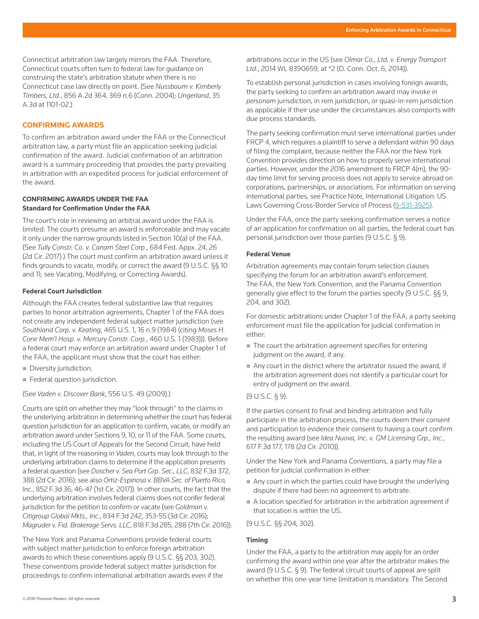Connecticut arbitration law largely mirrors the FAA. Therefore, Connecticut courts often turn to federal law for guidance on construing the state's arbitration statute when there is no Connecticut case law directly on point. (See *[Nussbaum v. Kimberly](http://www.westlaw.com/Link/Document/FullText?findType=Y&serNum=2004973052&pubNum=0000162&originatingDoc=I6200884823a411e89bf099c0ee06c731&refType=RP&fi=co_pp_sp_162_369&originationContext=document&vr=3.0&rs=cblt1.0&transitionType=PLDocumentLink&billingHash=7588228C645BF2C1A26312032384101980B9C4C8B14D374FC18223296603A8EF&contextData=(sc.Search)#co_pp_sp_162_369)  Timbers, Ltd.*[, 856 A.2d 364, 369 n.6 \(Conn. 2004\)](http://www.westlaw.com/Link/Document/FullText?findType=Y&serNum=2004973052&pubNum=0000162&originatingDoc=I6200884823a411e89bf099c0ee06c731&refType=RP&fi=co_pp_sp_162_369&originationContext=document&vr=3.0&rs=cblt1.0&transitionType=PLDocumentLink&billingHash=7588228C645BF2C1A26312032384101980B9C4C8B14D374FC18223296603A8EF&contextData=(sc.Search)#co_pp_sp_162_369); *[Ungerland](http://www.westlaw.com/Link/Document/FullText?findType=Y&serNum=2026874337&pubNum=0007691&originatingDoc=I6200884823a411e89bf099c0ee06c731&refType=RP&fi=co_pp_sp_7691_1101&originationContext=document&vr=3.0&rs=cblt1.0&transitionType=PLDocumentLink&billingHash=E7E2EFEDF6253A2AE536C27B23FC3A51EA3BE09B014EA5389BA3BAD30B53CC18&contextData=(sc.Search)#co_pp_sp_7691_1101)*, 35 [A.3d at 1101-02](http://www.westlaw.com/Link/Document/FullText?findType=Y&serNum=2026874337&pubNum=0007691&originatingDoc=I6200884823a411e89bf099c0ee06c731&refType=RP&fi=co_pp_sp_7691_1101&originationContext=document&vr=3.0&rs=cblt1.0&transitionType=PLDocumentLink&billingHash=E7E2EFEDF6253A2AE536C27B23FC3A51EA3BE09B014EA5389BA3BAD30B53CC18&contextData=(sc.Search)#co_pp_sp_7691_1101).)

# **CONFIRMING AWARDS**

To confirm an arbitration award under the FAA or the Connecticut arbitration law, a party must file an application seeking judicial confirmation of the award. Judicial confirmation of an arbitration award is a summary proceeding that provides the party prevailing in arbitration with an expedited process for judicial enforcement of the award.

#### **CONFIRMING AWARDS UNDER THE FAA**

#### **Standard for Confirmation Under the FAA**

The court's role in reviewing an arbitral award under the FAA is limited. The courts presume an award is enforceable and may vacate it only under the narrow grounds listed in Section 10(a) of the FAA. (See *[Tully Constr. Co. v. Canam Steel Corp.](http://www.westlaw.com/Link/Document/FullText?findType=Y&serNum=2041307314&pubNum=0006538&originatingDoc=I6200884823a411e89bf099c0ee06c731&refType=RP&fi=co_pp_sp_6538_26&originationContext=document&vr=3.0&rs=cblt1.0&transitionType=PLDocumentLink&billingHash=0F9D06B7FD476EAAFBF3D6536C99ADBC3E7D41FAA81F6220D371395B32B5F1B6&contextData=(sc.Search)#co_pp_sp_6538_26)*, 684 Fed. Appx. 24, 26 [\(2d Cir. 2017\).](http://www.westlaw.com/Link/Document/FullText?findType=Y&serNum=2041307314&pubNum=0006538&originatingDoc=I6200884823a411e89bf099c0ee06c731&refType=RP&fi=co_pp_sp_6538_26&originationContext=document&vr=3.0&rs=cblt1.0&transitionType=PLDocumentLink&billingHash=0F9D06B7FD476EAAFBF3D6536C99ADBC3E7D41FAA81F6220D371395B32B5F1B6&contextData=(sc.Search)#co_pp_sp_6538_26)) The court must confirm an arbitration award unless it finds grounds to vacate, modify, or correct the award [\(9 U.S.C. §§ 10](http://www.westlaw.com/Link/Document/FullText?findType=L&pubNum=1000546&cite=9USCAS10&originatingDoc=I6200884823a411e89bf099c0ee06c731&refType=LQ&originationContext=document&vr=3.0&rs=cblt1.0&transitionType=PLDocumentLink&billingHash=DBEFE6CF9515DB977D5505399FBBE0FA91DE6E3A9D4549430260B425370EBBF4&contextData=(sc.Search))  and [11;](http://www.westlaw.com/Link/Document/FullText?findType=L&pubNum=1000546&cite=9USCAS11&originatingDoc=I6200884823a411e89bf099c0ee06c731&refType=LQ&originationContext=document&vr=3.0&rs=cblt1.0&transitionType=PLDocumentLink&billingHash=7931FC75A0637214C49555DF6E28EA9E00ADD756A4BD80A2CD9125BF53E93B91&contextData=(sc.Search)) see [Vacating, Modifying, or Correcting Awards\)](file:///Volumes/composition/Data/Incoming/Thomson%20Reuter/2018/041918/#co_anchor_a000021_1).

#### **Federal Court Jurisdiction**

Although the FAA creates federal substantive law that requires parties to honor arbitration agreements, Chapter 1 of the FAA does not create any independent federal subject matter jurisdiction (see *[Southland Corp. v. Keating](http://www.westlaw.com/Link/Document/FullText?findType=Y&serNum=1984104100&pubNum=0000780&originatingDoc=I6200884823a411e89bf099c0ee06c731&refType=RP&fi=co_pp_sp_780_16&originationContext=document&vr=3.0&rs=cblt1.0&transitionType=PLDocumentLink&billingHash=214E7E441F5D2805C95B25A3AF9230C449B67B6C0D3E7E8F6B71192CBC336301&contextData=(sc.Search)#co_pp_sp_780_16)*, 465 U.S. 1, 16 n.9 (1984) (citing *[Moses H.](http://www.westlaw.com/Link/Document/FullText?findType=Y&serNum=1983109286&pubNum=0000780&originatingDoc=I6200884823a411e89bf099c0ee06c731&refType=RP&originationContext=document&vr=3.0&rs=cblt1.0&transitionType=PLDocumentLink&billingHash=CD925A309A8E7F4E7D03869873811B534C40D6DE8CEDDCF9A86077FBD1BC11A9&contextData=(sc.Search))  [Cone Mem'l Hosp. v. Mercury Constr. Corp.](http://www.westlaw.com/Link/Document/FullText?findType=Y&serNum=1983109286&pubNum=0000780&originatingDoc=I6200884823a411e89bf099c0ee06c731&refType=RP&originationContext=document&vr=3.0&rs=cblt1.0&transitionType=PLDocumentLink&billingHash=CD925A309A8E7F4E7D03869873811B534C40D6DE8CEDDCF9A86077FBD1BC11A9&contextData=(sc.Search))*, 460 U.S. 1 (1983))). Before a federal court may enforce an arbitration award under Chapter 1 of the FAA, the applicant must show that the court has either:

- [Diversity jurisdiction](http://www.westlaw.com/Document/I0f9fbfe9ef0811e28578f7ccc38dcbee/View/FullText.html?originationContext=document&vr=3.0&rs=cblt1.0&transitionType=DocumentItem&contextData=(sc.Search)).
- [Federal question jurisdiction](http://www.westlaw.com/Document/I0f9fe887ef0811e28578f7ccc38dcbee/View/FullText.html?originationContext=document&vr=3.0&rs=cblt1.0&transitionType=DocumentItem&contextData=(sc.Search)).

(See *[Vaden v. Discover Bank](http://www.westlaw.com/Link/Document/FullText?findType=Y&serNum=2018291954&pubNum=0000780&originatingDoc=I6200884823a411e89bf099c0ee06c731&refType=RP&originationContext=document&vr=3.0&rs=cblt1.0&transitionType=PLDocumentLink&billingHash=8CEF3C22437500812108927DC121FEECC093674950E3A8B5C7898B78646049A8&contextData=(sc.Search))*, 556 U.S. 49 (2009).)

Courts are split on whether they may "look through" to the claims in the underlying arbitration in determining whether the court has federal question jurisdiction for an application to confirm, vacate, or modify an arbitration award under Sections 9, 10, or 11 of the FAA. Some courts, including the US Court of Appeals for the Second Circuit, have held that, in light of the reasoning in *Vaden*, courts may look through to the underlying arbitration claims to determine if the application presents a federal question (see *[Doscher v. Sea Port Grp. Sec., LLC](http://www.westlaw.com/Link/Document/FullText?findType=Y&serNum=2039558046&pubNum=0000506&originatingDoc=I6200884823a411e89bf099c0ee06c731&refType=RP&fi=co_pp_sp_506_388&originationContext=document&vr=3.0&rs=cblt1.0&transitionType=PLDocumentLink&billingHash=1C3CFCC5A668B8D5591DD71A1DC2C044EDE7B7C63FA38E1B120677F713C98C7E&contextData=(sc.Search)#co_pp_sp_506_388)*, 832 F.3d 372, [388 \(2d Cir. 2016\);](http://www.westlaw.com/Link/Document/FullText?findType=Y&serNum=2039558046&pubNum=0000506&originatingDoc=I6200884823a411e89bf099c0ee06c731&refType=RP&fi=co_pp_sp_506_388&originationContext=document&vr=3.0&rs=cblt1.0&transitionType=PLDocumentLink&billingHash=1C3CFCC5A668B8D5591DD71A1DC2C044EDE7B7C63FA38E1B120677F713C98C7E&contextData=(sc.Search)#co_pp_sp_506_388) see also *[Ortiz-Espinosa v. BBVA Sec. of Puerto Rico,](http://www.westlaw.com/Link/Document/FullText?findType=Y&serNum=2040819177&pubNum=0000506&originatingDoc=I6200884823a411e89bf099c0ee06c731&refType=RP&fi=co_pp_sp_506_46&originationContext=document&vr=3.0&rs=cblt1.0&transitionType=PLDocumentLink&billingHash=BF3498CC1D9A6A9674C4936ACD1F96BD11DC9258AA7CCA50134EFD605945F8CC&contextData=(sc.Search)#co_pp_sp_506_46)  Inc.*[, 852 F.3d 36, 46-47 \(1st Cir. 2017\)\)](http://www.westlaw.com/Link/Document/FullText?findType=Y&serNum=2040819177&pubNum=0000506&originatingDoc=I6200884823a411e89bf099c0ee06c731&refType=RP&fi=co_pp_sp_506_46&originationContext=document&vr=3.0&rs=cblt1.0&transitionType=PLDocumentLink&billingHash=BF3498CC1D9A6A9674C4936ACD1F96BD11DC9258AA7CCA50134EFD605945F8CC&contextData=(sc.Search)#co_pp_sp_506_46). In other courts, the fact that the underlying arbitration involves federal claims does not confer federal jurisdiction for the petition to confirm or vacate (see *[Goldman v.](http://www.westlaw.com/Link/Document/FullText?findType=Y&serNum=2039631341&pubNum=0000506&originatingDoc=I6200884823a411e89bf099c0ee06c731&refType=RP&fi=co_pp_sp_506_353&originationContext=document&vr=3.0&rs=cblt1.0&transitionType=PLDocumentLink&billingHash=982CE8EDB37F8F1F7F79EBE48060CE1E25FC436BC0E4CFE0DBFD51D753F4AF5D&contextData=(sc.Search)#co_pp_sp_506_353) Citigroup Global Mkts., Inc.*[, 834 F.3d 242, 353-55 \(3d Cir. 2016\)](http://www.westlaw.com/Link/Document/FullText?findType=Y&serNum=2039631341&pubNum=0000506&originatingDoc=I6200884823a411e89bf099c0ee06c731&refType=RP&fi=co_pp_sp_506_353&originationContext=document&vr=3.0&rs=cblt1.0&transitionType=PLDocumentLink&billingHash=982CE8EDB37F8F1F7F79EBE48060CE1E25FC436BC0E4CFE0DBFD51D753F4AF5D&contextData=(sc.Search)#co_pp_sp_506_353); *[Magruder v. Fid. Brokerage Servs. LLC](http://www.westlaw.com/Link/Document/FullText?findType=Y&serNum=2038490373&pubNum=0000506&originatingDoc=I6200884823a411e89bf099c0ee06c731&refType=RP&fi=co_pp_sp_506_288&originationContext=document&vr=3.0&rs=cblt1.0&transitionType=PLDocumentLink&billingHash=400B97159CFBF629B04449806D0E346501E30CEA27A020CA019B4F9A395F433D&contextData=(sc.Search)#co_pp_sp_506_288)*, 818 F.3d 285, 288 (7th Cir. 2016)).

The New York and Panama Conventions provide federal courts with subject matter jurisdiction to enforce foreign arbitration awards to which these conventions apply [\(9 U.S.C. §§ 203,](http://www.westlaw.com/Link/Document/FullText?findType=L&pubNum=1000546&cite=9USCAS203&originatingDoc=I6200884823a411e89bf099c0ee06c731&refType=LQ&originationContext=document&vr=3.0&rs=cblt1.0&transitionType=PLDocumentLink&billingHash=3E8C469996E3C2F86392541EBA05A5C968CD20513E9D88E177197F0F212BB1FB&contextData=(sc.Search)) [302](http://www.westlaw.com/Link/Document/FullText?findType=L&pubNum=1000546&cite=9USCAS302&originatingDoc=I6200884823a411e89bf099c0ee06c731&refType=LQ&originationContext=document&vr=3.0&rs=cblt1.0&transitionType=PLDocumentLink&billingHash=83D85902DB0B943A713FE00FDD758C9E5C6FA8CBB7EE8A2C0E96D2ACC537D905&contextData=(sc.Search))). These conventions provide federal subject matter jurisdiction for proceedings to confirm international arbitration awards even if the arbitrations occur in the US (see *[Olmar Co., Ltd. v. Energy Transport](http://www.westlaw.com/Link/Document/FullText?findType=Y&serNum=2035739161&pubNum=0000999&originatingDoc=I6200884823a411e89bf099c0ee06c731&refType=RP&originationContext=document&vr=3.0&rs=cblt1.0&transitionType=PLDocumentLink&billingHash=C45A1C450539292C696499D0FDAAB61602708A98944A15493F599B695022F658&contextData=(sc.Search))  Ltd.*[, 2014 WL 8390659, at \\*2 \(D. Conn. Oct. 6, 2014\)\)](http://www.westlaw.com/Link/Document/FullText?findType=Y&serNum=2035739161&pubNum=0000999&originatingDoc=I6200884823a411e89bf099c0ee06c731&refType=RP&originationContext=document&vr=3.0&rs=cblt1.0&transitionType=PLDocumentLink&billingHash=C45A1C450539292C696499D0FDAAB61602708A98944A15493F599B695022F658&contextData=(sc.Search)).

To establish [personal jurisdiction](http://www.westlaw.com/Document/I03f4d946eee311e28578f7ccc38dcbee/View/FullText.html?originationContext=document&vr=3.0&rs=cblt1.0&transitionType=DocumentItem&contextData=(sc.Search)) in cases involving foreign awards, the party seeking to confirm an arbitration award may invoke *in personam* jurisdiction, [in rem jurisdiction,](http://www.westlaw.com/Document/I0f9fe5fdef0811e28578f7ccc38dcbee/View/FullText.html?originationContext=document&vr=3.0&rs=cblt1.0&transitionType=DocumentItem&contextData=(sc.Search)) or [quasi-in-rem jurisdiction](http://www.westlaw.com/Document/I0f9fe5ffef0811e28578f7ccc38dcbee/View/FullText.html?originationContext=document&vr=3.0&rs=cblt1.0&transitionType=DocumentItem&contextData=(sc.Search)) as applicable if their use under the circumstances also comports with due process standards.

The party seeking confirmation must serve international parties under [FRCP 4,](http://www.westlaw.com/Link/Document/FullText?findType=L&pubNum=1000600&cite=USFRCPR4&originatingDoc=I6200884823a411e89bf099c0ee06c731&refType=LQ&originationContext=document&vr=3.0&rs=cblt1.0&transitionType=PLDocumentLink&billingHash=00B33CE485C15F05E743B9794666AD50DFD5BD5F0F213DFDE5AAB7889C4E1F56&contextData=(sc.Search)) which requires a plaintiff to serve a defendant within 90 days of filing the complaint, because neither the FAA nor the New York Convention provides direction on how to properly serve international parties. However, under the 2016 amendment to [FRCP 4\(m\),](http://www.westlaw.com/Link/Document/FullText?findType=L&pubNum=1000600&cite=USFRCPR4&originatingDoc=I6200884823a411e89bf099c0ee06c731&refType=LQ&originationContext=document&vr=3.0&rs=cblt1.0&transitionType=PLDocumentLink&billingHash=00B33CE485C15F05E743B9794666AD50DFD5BD5F0F213DFDE5AAB7889C4E1F56&contextData=(sc.Search)) the 90 day time limit for serving process does not apply to service abroad on corporations, partnerships, or associations. For information on serving international parties, see [Practice Note, International Litigation: US](http://www.westlaw.com/Document/I5f599fef1c8a11e38578f7ccc38dcbee/View/FullText.html?originationContext=document&vr=3.0&rs=cblt1.0&transitionType=DocumentItem&contextData=(sc.Search))  [Laws Governing Cross-Border Service of Process](http://www.westlaw.com/Document/I5f599fef1c8a11e38578f7ccc38dcbee/View/FullText.html?originationContext=document&vr=3.0&rs=cblt1.0&transitionType=DocumentItem&contextData=(sc.Search)) (9-531-3925).

Under the FAA, once the party seeking confirmation serves a notice of an application for confirmation on all parties, the federal court has personal jurisdiction over those parties ([9 U.S.C. § 9\)](http://www.westlaw.com/Link/Document/FullText?findType=L&pubNum=1000546&cite=9USCAS9&originatingDoc=I6200884823a411e89bf099c0ee06c731&refType=LQ&originationContext=document&vr=3.0&rs=cblt1.0&transitionType=PLDocumentLink&billingHash=F67B27A17C7CAB82A84FDEB28325180AAF1C01D09359EA74C6891673E06D205D&contextData=(sc.Search)).

#### **Federal Venue**

Arbitration agreements may contain forum selection clauses specifying the forum for an arbitration award's enforcement. The FAA, the New York Convention, and the Panama Convention generally give effect to the forum the parties specify ([9 U.S.C. §§ 9](http://www.westlaw.com/Link/Document/FullText?findType=L&pubNum=1000546&cite=9USCAS9&originatingDoc=I6200884823a411e89bf099c0ee06c731&refType=LQ&originationContext=document&vr=3.0&rs=cblt1.0&transitionType=PLDocumentLink&billingHash=F67B27A17C7CAB82A84FDEB28325180AAF1C01D09359EA74C6891673E06D205D&contextData=(sc.Search)), [204,](http://www.westlaw.com/Link/Document/FullText?findType=L&pubNum=1000546&cite=9USCAS204&originatingDoc=I6200884823a411e89bf099c0ee06c731&refType=LQ&originationContext=document&vr=3.0&rs=cblt1.0&transitionType=PLDocumentLink&billingHash=46F24F758F7C2D177BB627993672F79CE7F0AC3E93385E4A92FB78A184FA9F12&contextData=(sc.Search)) and [302](http://www.westlaw.com/Link/Document/FullText?findType=L&pubNum=1000546&cite=9USCAS302&originatingDoc=I6200884823a411e89bf099c0ee06c731&refType=LQ&originationContext=document&vr=3.0&rs=cblt1.0&transitionType=PLDocumentLink&billingHash=83D85902DB0B943A713FE00FDD758C9E5C6FA8CBB7EE8A2C0E96D2ACC537D905&contextData=(sc.Search))).

For domestic arbitrations under Chapter 1 of the FAA, a party seeking enforcement must file the application for judicial confirmation in either:

- $\blacksquare$  The court the arbitration agreement specifies for entering judgment on the award, if any.
- Any court in the district where the arbitrator issued the award, if the arbitration agreement does not identify a particular court for entry of judgment on the award.

#### [\(9 U.S.C. § 9\)](http://www.westlaw.com/Link/Document/FullText?findType=L&pubNum=1000546&cite=9USCAS9&originatingDoc=I6200884823a411e89bf099c0ee06c731&refType=LQ&originationContext=document&vr=3.0&rs=cblt1.0&transitionType=PLDocumentLink&billingHash=F67B27A17C7CAB82A84FDEB28325180AAF1C01D09359EA74C6891673E06D205D&contextData=(sc.Search)).

If the parties consent to final and binding arbitration and fully participate in the arbitration process, the courts deem their consent and participation to evidence their consent to having a court confirm the resulting award (see *[Idea Nuova, Inc. v. GM Licensing Grp., Inc.](http://www.westlaw.com/Link/Document/FullText?findType=Y&serNum=2022722521&pubNum=0000506&originatingDoc=I6200884823a411e89bf099c0ee06c731&refType=RP&fi=co_pp_sp_506_178&originationContext=document&vr=3.0&rs=cblt1.0&transitionType=PLDocumentLink&billingHash=998FA9F3CBADDD61DB017907C82968BBBB87B9AD35EBC12B1B6549EA3522483F&contextData=(sc.Search)#co_pp_sp_506_178)*, [617 F.3d 177, 178 \(2d Cir. 2010\)\)](http://www.westlaw.com/Link/Document/FullText?findType=Y&serNum=2022722521&pubNum=0000506&originatingDoc=I6200884823a411e89bf099c0ee06c731&refType=RP&fi=co_pp_sp_506_178&originationContext=document&vr=3.0&rs=cblt1.0&transitionType=PLDocumentLink&billingHash=998FA9F3CBADDD61DB017907C82968BBBB87B9AD35EBC12B1B6549EA3522483F&contextData=(sc.Search)#co_pp_sp_506_178).

Under the New York and Panama Conventions, a party may file a petition for judicial confirmation in either:

- Any court in which the parties could have brought the underlying dispute if there had been no agreement to arbitrate.
- A location specified for arbitration in the arbitration agreement if that location is within the US.

[\(9 U.S.C. §§ 204,](http://www.westlaw.com/Link/Document/FullText?findType=L&pubNum=1000546&cite=9USCAS204&originatingDoc=I6200884823a411e89bf099c0ee06c731&refType=LQ&originationContext=document&vr=3.0&rs=cblt1.0&transitionType=PLDocumentLink&billingHash=46F24F758F7C2D177BB627993672F79CE7F0AC3E93385E4A92FB78A184FA9F12&contextData=(sc.Search)) [302](http://www.westlaw.com/Link/Document/FullText?findType=L&pubNum=1000546&cite=9USCAS302&originatingDoc=I6200884823a411e89bf099c0ee06c731&refType=LQ&originationContext=document&vr=3.0&rs=cblt1.0&transitionType=PLDocumentLink&billingHash=83D85902DB0B943A713FE00FDD758C9E5C6FA8CBB7EE8A2C0E96D2ACC537D905&contextData=(sc.Search))).

#### **Timing**

Under the FAA, a party to the arbitration may apply for an order confirming the award within one year after the arbitrator makes the award ([9 U.S.C. § 9](http://www.westlaw.com/Link/Document/FullText?findType=L&pubNum=1000546&cite=9USCAS9&originatingDoc=I6200884823a411e89bf099c0ee06c731&refType=LQ&originationContext=document&vr=3.0&rs=cblt1.0&transitionType=PLDocumentLink&billingHash=F67B27A17C7CAB82A84FDEB28325180AAF1C01D09359EA74C6891673E06D205D&contextData=(sc.Search))). The federal circuit courts of appeal are split on whether this one-year time limitation is mandatory. The Second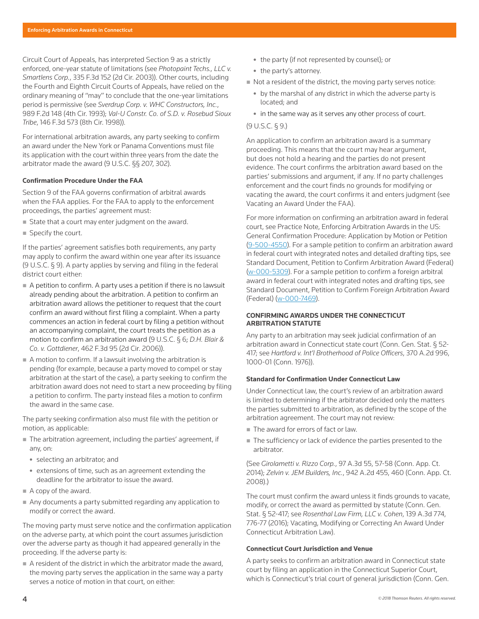Circuit Court of Appeals, has interpreted [Section 9](http://www.westlaw.com/Link/Document/FullText?findType=L&pubNum=1000546&cite=9USCAS9&originatingDoc=I6200884823a411e89bf099c0ee06c731&refType=LQ&originationContext=document&vr=3.0&rs=cblt1.0&transitionType=PLDocumentLink&billingHash=F67B27A17C7CAB82A84FDEB28325180AAF1C01D09359EA74C6891673E06D205D&contextData=(sc.Search)) as a strictly enforced, one-year statute of limitations (see *[Photopaint Techs., LLC v.](http://www.westlaw.com/Link/Document/FullText?findType=Y&serNum=2003491775&pubNum=0000506&originatingDoc=I6200884823a411e89bf099c0ee06c731&refType=RP&originationContext=document&vr=3.0&rs=cblt1.0&transitionType=PLDocumentLink&billingHash=05B8F5017C43C8E9F7E98FD8E64273BD5F5C6DF0E0BB9D0176F8CD63129F3A48&contextData=(sc.Search))  Smartlens Corp.*[, 335 F.3d 152 \(2d Cir. 2003\)\)](http://www.westlaw.com/Link/Document/FullText?findType=Y&serNum=2003491775&pubNum=0000506&originatingDoc=I6200884823a411e89bf099c0ee06c731&refType=RP&originationContext=document&vr=3.0&rs=cblt1.0&transitionType=PLDocumentLink&billingHash=05B8F5017C43C8E9F7E98FD8E64273BD5F5C6DF0E0BB9D0176F8CD63129F3A48&contextData=(sc.Search)). Other courts, including the Fourth and Eighth Circuit Courts of Appeals, have relied on the ordinary meaning of "may" to conclude that the one-year limitations period is permissive (see *[Sverdrup Corp. v. WHC Constructors, Inc.](http://www.westlaw.com/Link/Document/FullText?findType=Y&serNum=1993070938&pubNum=0000350&originatingDoc=I6200884823a411e89bf099c0ee06c731&refType=RP&originationContext=document&vr=3.0&rs=cblt1.0&transitionType=PLDocumentLink&billingHash=15CA88F50E894D3A1726E95DFB133E945F833AC6CDF733AF3434AC15AEA20B63&contextData=(sc.Search))*, [989 F.2d 148 \(4th Cir. 1993\)](http://www.westlaw.com/Link/Document/FullText?findType=Y&serNum=1993070938&pubNum=0000350&originatingDoc=I6200884823a411e89bf099c0ee06c731&refType=RP&originationContext=document&vr=3.0&rs=cblt1.0&transitionType=PLDocumentLink&billingHash=15CA88F50E894D3A1726E95DFB133E945F833AC6CDF733AF3434AC15AEA20B63&contextData=(sc.Search)); *[Val-U Constr. Co. of S.D. v. Rosebud Sioux](http://www.westlaw.com/Link/Document/FullText?findType=Y&serNum=1998122586&pubNum=0000506&originatingDoc=I6200884823a411e89bf099c0ee06c731&refType=RP&originationContext=document&vr=3.0&rs=cblt1.0&transitionType=PLDocumentLink&billingHash=2C73F75D6536776CE97AACB1BDB92971A19419BD7AFE313A065C2B306A785109&contextData=(sc.Search))  Tribe*[, 146 F.3d 573 \(8th Cir. 1998\)\)](http://www.westlaw.com/Link/Document/FullText?findType=Y&serNum=1998122586&pubNum=0000506&originatingDoc=I6200884823a411e89bf099c0ee06c731&refType=RP&originationContext=document&vr=3.0&rs=cblt1.0&transitionType=PLDocumentLink&billingHash=2C73F75D6536776CE97AACB1BDB92971A19419BD7AFE313A065C2B306A785109&contextData=(sc.Search)).

For international arbitration awards, any party seeking to confirm an award under the New York or Panama Conventions must file its application with the court within three years from the date the arbitrator made the award ([9 U.S.C. §§ 207,](http://www.westlaw.com/Link/Document/FullText?findType=L&pubNum=1000546&cite=9USCAS207&originatingDoc=I6200884823a411e89bf099c0ee06c731&refType=LQ&originationContext=document&vr=3.0&rs=cblt1.0&transitionType=PLDocumentLink&billingHash=6131552D6F966FC120999E719F7638944C703082A6308AC10021C732F980F8AA&contextData=(sc.Search)) [302](http://www.westlaw.com/Link/Document/FullText?findType=L&pubNum=1000546&cite=9USCAS302&originatingDoc=I6200884823a411e89bf099c0ee06c731&refType=LQ&originationContext=document&vr=3.0&rs=cblt1.0&transitionType=PLDocumentLink&billingHash=83D85902DB0B943A713FE00FDD758C9E5C6FA8CBB7EE8A2C0E96D2ACC537D905&contextData=(sc.Search))).

# **Confirmation Procedure Under the FAA**

Section 9 of the FAA governs confirmation of arbitral awards when the FAA applies. For the FAA to apply to the enforcement proceedings, the parties' agreement must:

- State that a court may enter judgment on the award.
- Specify the court.

If the parties' agreement satisfies both requirements, any party may apply to confirm the award within one year after its issuance [\(9 U.S.C. § 9](http://www.westlaw.com/Link/Document/FullText?findType=L&pubNum=1000546&cite=9USCAS9&originatingDoc=I6200884823a411e89bf099c0ee06c731&refType=LQ&originationContext=document&vr=3.0&rs=cblt1.0&transitionType=PLDocumentLink&billingHash=F67B27A17C7CAB82A84FDEB28325180AAF1C01D09359EA74C6891673E06D205D&contextData=(sc.Search))). A party applies by serving and filing in the federal district court either:

- $\blacksquare$  A petition to confirm. A party uses a petition if there is no lawsuit already pending about the arbitration. A petition to confirm an arbitration award allows the petitioner to request that the court confirm an award without first filing a complaint. When a party commences an action in federal court by filing a petition without an accompanying complaint, the court treats the petition as a motion to confirm an arbitration award ([9 U.S.C. § 6](http://www.westlaw.com/Link/Document/FullText?findType=L&pubNum=1000546&cite=9USCAS6&originatingDoc=I6200884823a411e89bf099c0ee06c731&refType=LQ&originationContext=document&vr=3.0&rs=cblt1.0&transitionType=PLDocumentLink&billingHash=B97A4FB17530972E9B752C322F6FF39A3C2B942962467235D0FB1668662520F9&contextData=(sc.Search)); *[D.H. Blair &](http://www.westlaw.com/Link/Document/FullText?findType=Y&serNum=2010228288&pubNum=0000506&originatingDoc=I6200884823a411e89bf099c0ee06c731&refType=RP&originationContext=document&vr=3.0&rs=cblt1.0&transitionType=PLDocumentLink&billingHash=5E5C81DDD983F5F332C418E74152A6B1C736FD27C68E273E528C0B508F295498&contextData=(sc.Search))  Co. v. Gottdiener*[, 462 F.3d 95 \(2d Cir. 2006\)\)](http://www.westlaw.com/Link/Document/FullText?findType=Y&serNum=2010228288&pubNum=0000506&originatingDoc=I6200884823a411e89bf099c0ee06c731&refType=RP&originationContext=document&vr=3.0&rs=cblt1.0&transitionType=PLDocumentLink&billingHash=5E5C81DDD983F5F332C418E74152A6B1C736FD27C68E273E528C0B508F295498&contextData=(sc.Search)).
- A motion to confirm. If a lawsuit involving the arbitration is pending (for example, because a party moved to compel or stay arbitration at the start of the case), a party seeking to confirm the arbitration award does not need to start a new proceeding by filing a petition to confirm. The party instead files a motion to confirm the award in the same case.

The party seeking confirmation also must file with the petition or motion, as applicable:

- The arbitration agreement, including the parties' agreement, if any, on:
	- selecting an arbitrator; and
	- $\bullet$  extensions of time, such as an agreement extending the deadline for the arbitrator to issue the award.
- A copy of the award.
- Any documents a party submitted regarding any application to modify or correct the award.

The moving party must serve notice and the confirmation application on the adverse party, at which point the court assumes jurisdiction over the adverse party as though it had appeared generally in the proceeding. If the adverse party is:

A resident of the district in which the arbitrator made the award, the moving party serves the application in the same way a party serves a notice of motion in that court, on either:

- the party (if not represented by counsel); or
- the party's attorney.
- Not a resident of the district, the moving party serves notice:
	- $\bullet$  by the marshal of any district in which the adverse party is located; and
	- in the same way as it serves any other [process](http://www.westlaw.com/Document/I0fa00d72ef0811e28578f7ccc38dcbee/View/FullText.html?originationContext=document&vr=3.0&rs=cblt1.0&transitionType=DocumentItem&contextData=(sc.Search)) of court.

# [\(9 U.S.C. § 9.](http://www.westlaw.com/Link/Document/FullText?findType=L&pubNum=1000546&cite=9USCAS9&originatingDoc=I6200884823a411e89bf099c0ee06c731&refType=LQ&originationContext=document&vr=3.0&rs=cblt1.0&transitionType=PLDocumentLink&billingHash=F67B27A17C7CAB82A84FDEB28325180AAF1C01D09359EA74C6891673E06D205D&contextData=(sc.Search)))

An application to confirm an arbitration award is a summary proceeding. This means that the court may hear argument, but does not hold a hearing and the parties do not present evidence. The court confirms the arbitration award based on the parties' submissions and argument, if any. If no party challenges enforcement and the court finds no grounds for modifying or vacating the award, the court confirms it and enters judgment (see [Vacating an Award Under the FAA](file:///Volumes/composition/Data/Incoming/Thomson%20Reuter/2018/041918/#co_anchor_a000022_1)).

For more information on confirming an arbitration award in federal court, see [Practice Note, Enforcing Arbitration Awards in the US:](http://www.westlaw.com/Document/I0f9fc048ef0811e28578f7ccc38dcbee/View/FullText.html?originationContext=document&vr=3.0&rs=cblt1.0&transitionType=DocumentItem&contextData=(sc.Search)#co_anchor_a494024)  [General Confirmation Procedure: Application by Motion or Petition](http://www.westlaw.com/Document/I0f9fc048ef0811e28578f7ccc38dcbee/View/FullText.html?originationContext=document&vr=3.0&rs=cblt1.0&transitionType=DocumentItem&contextData=(sc.Search)#co_anchor_a494024)  (9-500-4550). For a sample petition to confirm an arbitration award in federal court with integrated notes and detailed drafting tips, see [Standard Document, Petition to Confirm Arbitration Award \(Federal\)](http://www.westlaw.com/Document/I0f406650428511e598dc8b09b4f043e0/View/FullText.html?originationContext=document&vr=3.0&rs=cblt1.0&transitionType=DocumentItem&contextData=(sc.Search)) (w-000-5309). For a sample petition to confirm a foreign arbitral award in federal court with integrated notes and drafting tips, see [Standard Document, Petition to Confirm Foreign Arbitration Award](http://www.westlaw.com/Document/I1dc3a9f286f111e598dc8b09b4f043e0/View/FullText.html?originationContext=document&vr=3.0&rs=cblt1.0&transitionType=DocumentItem&contextData=(sc.Search))  [\(Federal\)](http://www.westlaw.com/Document/I1dc3a9f286f111e598dc8b09b4f043e0/View/FullText.html?originationContext=document&vr=3.0&rs=cblt1.0&transitionType=DocumentItem&contextData=(sc.Search)) (w-000-7469).

# **CONFIRMING AWARDS UNDER THE CONNECTICUT ARBITRATION STATUTE**

Any party to an arbitration may seek judicial confirmation of an arbitration award in Connecticut state court [\(Conn. Gen. Stat. § 52-](http://www.westlaw.com/Link/Document/FullText?findType=L&pubNum=1000264&cite=CTSTS52-417&originatingDoc=I6200884823a411e89bf099c0ee06c731&refType=LQ&originationContext=document&vr=3.0&rs=cblt1.0&transitionType=PLDocumentLink&billingHash=52B413F395846F2081DB381F53D3C705C34A082710EEB0CE5BEE3AF137FBA69A&contextData=(sc.Search)) [417](http://www.westlaw.com/Link/Document/FullText?findType=L&pubNum=1000264&cite=CTSTS52-417&originatingDoc=I6200884823a411e89bf099c0ee06c731&refType=LQ&originationContext=document&vr=3.0&rs=cblt1.0&transitionType=PLDocumentLink&billingHash=52B413F395846F2081DB381F53D3C705C34A082710EEB0CE5BEE3AF137FBA69A&contextData=(sc.Search)); see *[Hartford v. Int'l Brotherhood of Police Officers](http://www.westlaw.com/Link/Document/FullText?findType=Y&serNum=1976122934&pubNum=0000162&originatingDoc=I6200884823a411e89bf099c0ee06c731&refType=RP&fi=co_pp_sp_162_1000&originationContext=document&vr=3.0&rs=cblt1.0&transitionType=PLDocumentLink&billingHash=40A65720FD4A4AC5D735AD11FCDD0F81E27E9D65D1BDC77604AAE19FBD7AF107&contextData=(sc.Search)#co_pp_sp_162_1000)*, 370 A.2d 996, [1000-01 \(Conn. 1976\)\)](http://www.westlaw.com/Link/Document/FullText?findType=Y&serNum=1976122934&pubNum=0000162&originatingDoc=I6200884823a411e89bf099c0ee06c731&refType=RP&fi=co_pp_sp_162_1000&originationContext=document&vr=3.0&rs=cblt1.0&transitionType=PLDocumentLink&billingHash=40A65720FD4A4AC5D735AD11FCDD0F81E27E9D65D1BDC77604AAE19FBD7AF107&contextData=(sc.Search)#co_pp_sp_162_1000).

# **Standard for Confirmation Under Connecticut Law**

Under Connecticut law, the court's review of an arbitration award is limited to determining if the arbitrator decided only the matters the parties submitted to arbitration, as defined by the scope of the arbitration agreement. The court may not review:

- The award for errors of fact or law.
- The sufficiency or lack of evidence the parties presented to the arbitrator.

(See *Girolametti v. Rizzo Corp.*[, 97 A.3d 55, 57-58 \(Conn. App. Ct.](http://www.westlaw.com/Link/Document/FullText?findType=Y&serNum=2033928900&pubNum=0007691&originatingDoc=I6200884823a411e89bf099c0ee06c731&refType=RP&fi=co_pp_sp_7691_57&originationContext=document&vr=3.0&rs=cblt1.0&transitionType=PLDocumentLink&billingHash=4933C56E106D41B3EC824C195E909BEF415B2C59E55A82F8B4B6B6828903F967&contextData=(sc.Search)#co_pp_sp_7691_57)  [2014\)](http://www.westlaw.com/Link/Document/FullText?findType=Y&serNum=2033928900&pubNum=0007691&originatingDoc=I6200884823a411e89bf099c0ee06c731&refType=RP&fi=co_pp_sp_7691_57&originationContext=document&vr=3.0&rs=cblt1.0&transitionType=PLDocumentLink&billingHash=4933C56E106D41B3EC824C195E909BEF415B2C59E55A82F8B4B6B6828903F967&contextData=(sc.Search)#co_pp_sp_7691_57); *Zelvin v. JEM Builders, Inc.*[, 942 A.2d 455, 460 \(Conn. App. Ct.](http://www.westlaw.com/Link/Document/FullText?findType=Y&serNum=2015471369&pubNum=0000162&originatingDoc=I6200884823a411e89bf099c0ee06c731&refType=RP&fi=co_pp_sp_162_460&originationContext=document&vr=3.0&rs=cblt1.0&transitionType=PLDocumentLink&billingHash=D14E2CFBD0EB8351C23CD446819BE45D6497A93DA335FAEA63E2E70C3864E0BF&contextData=(sc.Search)#co_pp_sp_162_460)  [2008\)](http://www.westlaw.com/Link/Document/FullText?findType=Y&serNum=2015471369&pubNum=0000162&originatingDoc=I6200884823a411e89bf099c0ee06c731&refType=RP&fi=co_pp_sp_162_460&originationContext=document&vr=3.0&rs=cblt1.0&transitionType=PLDocumentLink&billingHash=D14E2CFBD0EB8351C23CD446819BE45D6497A93DA335FAEA63E2E70C3864E0BF&contextData=(sc.Search)#co_pp_sp_162_460).)

The court must confirm the award unless it finds grounds to vacate, modify, or correct the award as permitted by statute ([Conn. Gen.](http://www.westlaw.com/Link/Document/FullText?findType=L&pubNum=1000264&cite=CTSTS52-417&originatingDoc=I6200884823a411e89bf099c0ee06c731&refType=LQ&originationContext=document&vr=3.0&rs=cblt1.0&transitionType=PLDocumentLink&billingHash=52B413F395846F2081DB381F53D3C705C34A082710EEB0CE5BEE3AF137FBA69A&contextData=(sc.Search))  [Stat. § 52-417;](http://www.westlaw.com/Link/Document/FullText?findType=L&pubNum=1000264&cite=CTSTS52-417&originatingDoc=I6200884823a411e89bf099c0ee06c731&refType=LQ&originationContext=document&vr=3.0&rs=cblt1.0&transitionType=PLDocumentLink&billingHash=52B413F395846F2081DB381F53D3C705C34A082710EEB0CE5BEE3AF137FBA69A&contextData=(sc.Search)) see *[Rosenthal Law Firm, LLC v. Cohen](http://www.westlaw.com/Link/Document/FullText?findType=Y&serNum=2038780661&pubNum=0007691&originatingDoc=I6200884823a411e89bf099c0ee06c731&refType=RP&fi=co_pp_sp_7691_776&originationContext=document&vr=3.0&rs=cblt1.0&transitionType=PLDocumentLink&billingHash=92DB1AA35626DB1DB4CD57D4F62491FE92D973BD796E1DFFD12B0221EF638DE6&contextData=(sc.Search)#co_pp_sp_7691_776)*, 139 A.3d 774, [776-77 \(2016\)](http://www.westlaw.com/Link/Document/FullText?findType=Y&serNum=2038780661&pubNum=0007691&originatingDoc=I6200884823a411e89bf099c0ee06c731&refType=RP&fi=co_pp_sp_7691_776&originationContext=document&vr=3.0&rs=cblt1.0&transitionType=PLDocumentLink&billingHash=92DB1AA35626DB1DB4CD57D4F62491FE92D973BD796E1DFFD12B0221EF638DE6&contextData=(sc.Search)#co_pp_sp_7691_776); [Vacating, Modifying or Correcting An Award Under](file:///Volumes/composition/Data/Incoming/Thomson%20Reuter/2018/041918/#co_anchor_a000028_1)  [Connecticut Arbitration Law\)](file:///Volumes/composition/Data/Incoming/Thomson%20Reuter/2018/041918/#co_anchor_a000028_1).

# **Connecticut Court Jurisdiction and Venue**

A party seeks to confirm an arbitration award in Connecticut state court by filing an application in the Connecticut Superior Court, which is Connecticut's trial court of general jurisdiction [\(Conn. Gen.](http://www.westlaw.com/Link/Document/FullText?findType=L&pubNum=1000264&cite=CTSTS52-417&originatingDoc=I6200884823a411e89bf099c0ee06c731&refType=LQ&originationContext=document&vr=3.0&rs=cblt1.0&transitionType=PLDocumentLink&billingHash=52B413F395846F2081DB381F53D3C705C34A082710EEB0CE5BEE3AF137FBA69A&contextData=(sc.Search))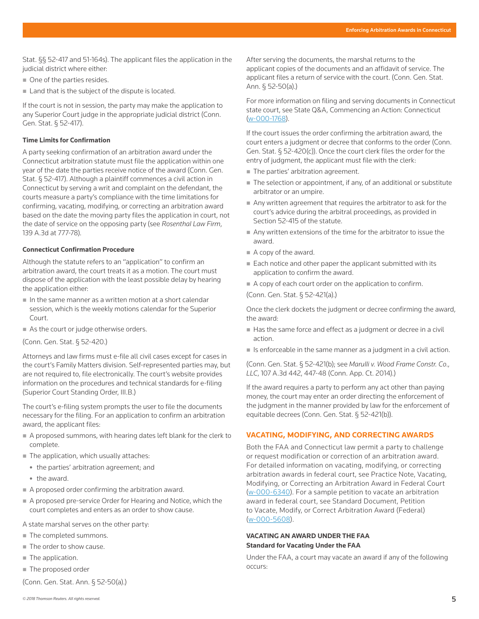[Stat. §§ 52-417](http://www.westlaw.com/Link/Document/FullText?findType=L&pubNum=1000264&cite=CTSTS52-417&originatingDoc=I6200884823a411e89bf099c0ee06c731&refType=LQ&originationContext=document&vr=3.0&rs=cblt1.0&transitionType=PLDocumentLink&billingHash=52B413F395846F2081DB381F53D3C705C34A082710EEB0CE5BEE3AF137FBA69A&contextData=(sc.Search)) and [51-164s\)](http://www.westlaw.com/Link/Document/FullText?findType=L&pubNum=1000264&cite=CTSTS51-164S&originatingDoc=I6200884823a411e89bf099c0ee06c731&refType=LQ&originationContext=document&vr=3.0&rs=cblt1.0&transitionType=PLDocumentLink&billingHash=2CAB37912039578F7661D37503C2DAFFD1C00630EF8A2D8FFD3B56BF0A7F9260&contextData=(sc.Search)). The applicant files the application in the judicial district where either:

- One of the parties resides.
- Land that is the subject of the dispute is located.

If the court is not in session, the party may make the application to any Superior Court judge in the appropriate judicial district [\(Conn.](http://www.westlaw.com/Link/Document/FullText?findType=L&pubNum=1000264&cite=CTSTS52-417&originatingDoc=I6200884823a411e89bf099c0ee06c731&refType=LQ&originationContext=document&vr=3.0&rs=cblt1.0&transitionType=PLDocumentLink&billingHash=52B413F395846F2081DB381F53D3C705C34A082710EEB0CE5BEE3AF137FBA69A&contextData=(sc.Search))  [Gen. Stat. § 52-417](http://www.westlaw.com/Link/Document/FullText?findType=L&pubNum=1000264&cite=CTSTS52-417&originatingDoc=I6200884823a411e89bf099c0ee06c731&refType=LQ&originationContext=document&vr=3.0&rs=cblt1.0&transitionType=PLDocumentLink&billingHash=52B413F395846F2081DB381F53D3C705C34A082710EEB0CE5BEE3AF137FBA69A&contextData=(sc.Search))).

#### **Time Limits for Confirmation**

A party seeking confirmation of an arbitration award under the Connecticut arbitration statute must file the application within one year of the date the parties receive notice of the award [\(Conn. Gen.](http://www.westlaw.com/Link/Document/FullText?findType=L&pubNum=1000264&cite=CTSTS52-417&originatingDoc=I6200884823a411e89bf099c0ee06c731&refType=LQ&originationContext=document&vr=3.0&rs=cblt1.0&transitionType=PLDocumentLink&billingHash=52B413F395846F2081DB381F53D3C705C34A082710EEB0CE5BEE3AF137FBA69A&contextData=(sc.Search))  [Stat. § 52-417](http://www.westlaw.com/Link/Document/FullText?findType=L&pubNum=1000264&cite=CTSTS52-417&originatingDoc=I6200884823a411e89bf099c0ee06c731&refType=LQ&originationContext=document&vr=3.0&rs=cblt1.0&transitionType=PLDocumentLink&billingHash=52B413F395846F2081DB381F53D3C705C34A082710EEB0CE5BEE3AF137FBA69A&contextData=(sc.Search))). Although a plaintiff commences a civil action in Connecticut by serving a writ and complaint on the defendant, the courts measure a party's compliance with the time limitations for confirming, vacating, modifying, or correcting an arbitration award based on the date the moving party files the application in court, not the date of service on the opposing party (see *[Rosenthal Law Firm](http://www.westlaw.com/Link/Document/FullText?findType=Y&serNum=2038780661&pubNum=0007691&originatingDoc=I6200884823a411e89bf099c0ee06c731&refType=RP&fi=co_pp_sp_7691_777&originationContext=document&vr=3.0&rs=cblt1.0&transitionType=PLDocumentLink&billingHash=92DB1AA35626DB1DB4CD57D4F62491FE92D973BD796E1DFFD12B0221EF638DE6&contextData=(sc.Search)#co_pp_sp_7691_777)*, [139 A.3d at 777-78\)](http://www.westlaw.com/Link/Document/FullText?findType=Y&serNum=2038780661&pubNum=0007691&originatingDoc=I6200884823a411e89bf099c0ee06c731&refType=RP&fi=co_pp_sp_7691_777&originationContext=document&vr=3.0&rs=cblt1.0&transitionType=PLDocumentLink&billingHash=92DB1AA35626DB1DB4CD57D4F62491FE92D973BD796E1DFFD12B0221EF638DE6&contextData=(sc.Search)#co_pp_sp_7691_777).

#### **Connecticut Confirmation Procedure**

Although the statute refers to an "application" to confirm an arbitration award, the court treats it as a motion. The court must dispose of the application with the least possible delay by hearing the application either:

- $\blacksquare$  In the same manner as a written motion at a short calendar session, which is the weekly motions calendar for the Superior Court.
- As the court or judge otherwise orders.

[\(Conn. Gen. Stat. § 52-420.](http://www.westlaw.com/Link/Document/FullText?findType=L&pubNum=1000264&cite=CTSTS52-420&originatingDoc=I6200884823a411e89bf099c0ee06c731&refType=LQ&originationContext=document&vr=3.0&rs=cblt1.0&transitionType=PLDocumentLink&billingHash=D88DF548218F244793B5DD57E1E1EB6941F499E33874BA1DCE261D045EDD37E3&contextData=(sc.Search)))

Attorneys and law firms must e-file all civil cases except for cases in the court's Family Matters division. Self-represented parties may, but are not required to, file electronically. The court's website provides information on the procedures and technical standards for e-filing [\(Superior Court Standing Order](http://www.jud.ct.gov/external/super/E-Services/e-standards.pdf), III.B.)

The court's e-filing system prompts the user to file the documents necessary for the filing. For an application to confirm an arbitration award, the applicant files:

- A proposed summons, with hearing dates left blank for the clerk to complete.
- The application, which usually attaches:
	- the parties' arbitration agreement; and
	- the award.
- A proposed order confirming the arbitration award.
- A proposed pre-service Order for Hearing and Notice, which the court completes and enters as an order to show cause.

A state marshal serves on the other party:

- The completed summons.
- The order to show cause.
- The application.
- The proposed order

[\(Conn. Gen. Stat. Ann. § 52-50\(a\)](http://www.westlaw.com/Link/Document/FullText?findType=L&pubNum=1000264&cite=CTSTS52-50&originatingDoc=I6200884823a411e89bf099c0ee06c731&refType=SP&originationContext=document&vr=3.0&rs=cblt1.0&transitionType=PLDocumentLink&billingHash=DDABE7A8451EBDC654E082ACDFEB39BE62E64501CEBA0D8EA0D49B2832965A7E&contextData=(sc.Search)#co_pp_8b3b0000958a4).)

After serving the documents, the marshal returns to the applicant copies of the documents and an affidavit of service. The applicant files a return of service with the court. ([Conn. Gen. Stat.](http://www.westlaw.com/Link/Document/FullText?findType=L&pubNum=1000264&cite=CTSTS52-50&originatingDoc=I6200884823a411e89bf099c0ee06c731&refType=SP&originationContext=document&vr=3.0&rs=cblt1.0&transitionType=PLDocumentLink&billingHash=DDABE7A8451EBDC654E082ACDFEB39BE62E64501CEBA0D8EA0D49B2832965A7E&contextData=(sc.Search)#co_pp_8b3b0000958a4)  [Ann. § 52-50\(a\).](http://www.westlaw.com/Link/Document/FullText?findType=L&pubNum=1000264&cite=CTSTS52-50&originatingDoc=I6200884823a411e89bf099c0ee06c731&refType=SP&originationContext=document&vr=3.0&rs=cblt1.0&transitionType=PLDocumentLink&billingHash=DDABE7A8451EBDC654E082ACDFEB39BE62E64501CEBA0D8EA0D49B2832965A7E&contextData=(sc.Search)#co_pp_8b3b0000958a4))

For more information on filing and serving documents in Connecticut state court, see [State Q&A, Commencing an Action: Connecticut](http://www.westlaw.com/Document/Iaaeb0ebc4af211e498db8b09b4f043e0/View/FullText.html?originationContext=document&vr=3.0&rs=cblt1.0&transitionType=DocumentItem&contextData=(sc.Search)) (w-000-1768).

If the court issues the order confirming the arbitration award, the court enters a judgment or decree that conforms to the order [\(Conn.](http://www.westlaw.com/Link/Document/FullText?findType=L&pubNum=1000264&cite=CTSTS52-420&originatingDoc=I6200884823a411e89bf099c0ee06c731&refType=SP&originationContext=document&vr=3.0&rs=cblt1.0&transitionType=PLDocumentLink&billingHash=D88DF548218F244793B5DD57E1E1EB6941F499E33874BA1DCE261D045EDD37E3&contextData=(sc.Search)#co_pp_4b24000003ba5)  [Gen. Stat. § 52-420\(c\)\)](http://www.westlaw.com/Link/Document/FullText?findType=L&pubNum=1000264&cite=CTSTS52-420&originatingDoc=I6200884823a411e89bf099c0ee06c731&refType=SP&originationContext=document&vr=3.0&rs=cblt1.0&transitionType=PLDocumentLink&billingHash=D88DF548218F244793B5DD57E1E1EB6941F499E33874BA1DCE261D045EDD37E3&contextData=(sc.Search)#co_pp_4b24000003ba5). Once the court clerk files the order for the entry of judgment, the applicant must file with the clerk:

- The parties' arbitration agreement.
- The selection or appointment, if any, of an additional or substitute arbitrator or an umpire.
- Any written agreement that requires the arbitrator to ask for the court's advice during the arbitral proceedings, as provided in Section 52-415 of the statute.
- Any written extensions of the time for the arbitrator to issue the award.
- A copy of the award.
- Each notice and other paper the applicant submitted with its application to confirm the award.
- A copy of each court order on the application to confirm.

([Conn. Gen. Stat. § 52-421\(a\)](http://www.westlaw.com/Link/Document/FullText?findType=L&pubNum=1000264&cite=CTSTS52-421&originatingDoc=I6200884823a411e89bf099c0ee06c731&refType=SP&originationContext=document&vr=3.0&rs=cblt1.0&transitionType=PLDocumentLink&billingHash=BF0890A58A75FA2EB52FFA1AA97A64416BB2CC67B64D6ECF28434E08C7471812&contextData=(sc.Search)#co_pp_8b3b0000958a4).)

Once the clerk dockets the judgment or decree confirming the award, the award:

- Has the same force and effect as a judgment or decree in a civil action.
- $\blacksquare$  Is enforceable in the same manner as a judgment in a civil action.

([Conn. Gen. Stat. § 52-421\(b\);](http://www.westlaw.com/Link/Document/FullText?findType=L&pubNum=1000264&cite=CTSTS52-421&originatingDoc=I6200884823a411e89bf099c0ee06c731&refType=SP&originationContext=document&vr=3.0&rs=cblt1.0&transitionType=PLDocumentLink&billingHash=BF0890A58A75FA2EB52FFA1AA97A64416BB2CC67B64D6ECF28434E08C7471812&contextData=(sc.Search)#co_pp_a83b000018c76) see *[Marulli v. Wood Frame Constr. Co.,](http://www.westlaw.com/Link/Document/FullText?findType=Y&serNum=2034955801&pubNum=0007691&originatingDoc=I6200884823a411e89bf099c0ee06c731&refType=RP&fi=co_pp_sp_7691_447&originationContext=document&vr=3.0&rs=cblt1.0&transitionType=PLDocumentLink&billingHash=6239EB611991C33BBDA62BAA0C0B67DF08F5E83832688509D37B1D6FBED48737&contextData=(sc.Search)#co_pp_sp_7691_447)  LLC*[, 107 A.3d 442, 447-48 \(Conn. App. Ct. 2014\)](http://www.westlaw.com/Link/Document/FullText?findType=Y&serNum=2034955801&pubNum=0007691&originatingDoc=I6200884823a411e89bf099c0ee06c731&refType=RP&fi=co_pp_sp_7691_447&originationContext=document&vr=3.0&rs=cblt1.0&transitionType=PLDocumentLink&billingHash=6239EB611991C33BBDA62BAA0C0B67DF08F5E83832688509D37B1D6FBED48737&contextData=(sc.Search)#co_pp_sp_7691_447).)

If the award requires a party to perform any act other than paying money, the court may enter an order directing the enforcement of the judgment in the manner provided by law for the enforcement of equitable decrees ([Conn. Gen. Stat. § 52-421\(b\)\)](http://www.westlaw.com/Link/Document/FullText?findType=L&pubNum=1000264&cite=CTSTS52-421&originatingDoc=I6200884823a411e89bf099c0ee06c731&refType=SP&originationContext=document&vr=3.0&rs=cblt1.0&transitionType=PLDocumentLink&billingHash=BF0890A58A75FA2EB52FFA1AA97A64416BB2CC67B64D6ECF28434E08C7471812&contextData=(sc.Search)#co_pp_a83b000018c76).

# **VACATING, MODIFYING, AND CORRECTING AWARDS**

Both the FAA and Connecticut law permit a party to challenge or request modification or correction of an arbitration award. For detailed information on vacating, modifying, or correcting arbitration awards in federal court, see [Practice Note, Vacating,](http://www.westlaw.com/Document/I4d94e2cb692011e598dc8b09b4f043e0/View/FullText.html?originationContext=document&vr=3.0&rs=cblt1.0&transitionType=DocumentItem&contextData=(sc.Search))  [Modifying, or Correcting an Arbitration Award in Federal Court](http://www.westlaw.com/Document/I4d94e2cb692011e598dc8b09b4f043e0/View/FullText.html?originationContext=document&vr=3.0&rs=cblt1.0&transitionType=DocumentItem&contextData=(sc.Search))  (w-000-6340). For a sample petition to vacate an arbitration award in federal court, see [Standard Document, Petition](http://www.westlaw.com/Document/Iacb7eb64500911e598dc8b09b4f043e0/View/FullText.html?originationContext=document&vr=3.0&rs=cblt1.0&transitionType=DocumentItem&contextData=(sc.Search))  [to Vacate, Modify, or Correct Arbitration Award \(Federal\)](http://www.westlaw.com/Document/Iacb7eb64500911e598dc8b09b4f043e0/View/FullText.html?originationContext=document&vr=3.0&rs=cblt1.0&transitionType=DocumentItem&contextData=(sc.Search)) (w-000-5608).

# **VACATING AN AWARD UNDER THE FAA Standard for Vacating Under the FAA**

Under the FAA, a court may vacate an award if any of the following occurs: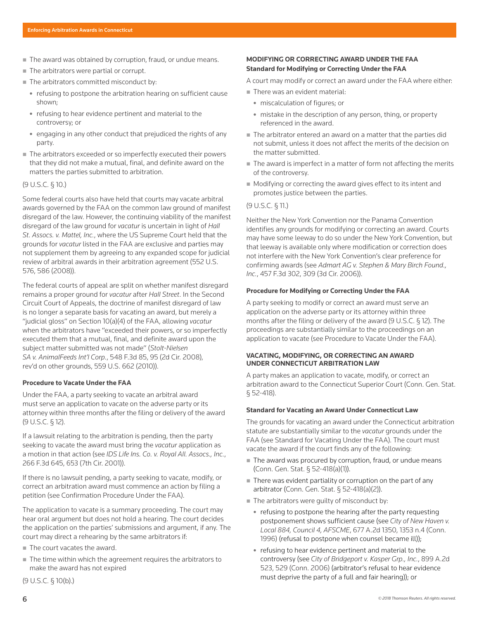- The award was obtained by corruption, fraud, or undue means.
- The arbitrators were partial or corrupt.
- The arbitrators committed misconduct by:
	- refusing to postpone the arbitration hearing on sufficient cause shown;
	- refusing to hear evidence pertinent and material to the controversy; or
	- engaging in any other conduct that prejudiced the rights of any party.
- The arbitrators exceeded or so imperfectly executed their powers that they did not make a mutual, final, and definite award on the matters the parties submitted to arbitration.

# [\(9 U.S.C. § 10](http://www.westlaw.com/Link/Document/FullText?findType=L&pubNum=1000546&cite=9USCAS10&originatingDoc=I6200884823a411e89bf099c0ee06c731&refType=LQ&originationContext=document&vr=3.0&rs=cblt1.0&transitionType=PLDocumentLink&billingHash=DBEFE6CF9515DB977D5505399FBBE0FA91DE6E3A9D4549430260B425370EBBF4&contextData=(sc.Search)).)

Some federal courts also have held that courts may vacate arbitral awards governed by the FAA on the common law ground of manifest disregard of the law. However, the continuing viability of the manifest disregard of the law ground for *vacatur* is uncertain in light of *Hall St. Assocs. v. Mattel, Inc.*, where the US Supreme Court held that the grounds for *vacatur* listed in the FAA are exclusive and parties may not supplement them by agreeing to any expanded scope for judicial review of arbitral awards in their arbitration agreement ([552 U.S.](http://www.westlaw.com/Link/Document/FullText?findType=Y&serNum=2015553668&pubNum=0000780&originatingDoc=I6200884823a411e89bf099c0ee06c731&refType=RP&fi=co_pp_sp_780_586&originationContext=document&vr=3.0&rs=cblt1.0&transitionType=PLDocumentLink&billingHash=AC35F6ED31A24662319E64260D92EF8C75B3AB89D9FE8C637BAE04A62F60D98E&contextData=(sc.Search)#co_pp_sp_780_586)  [576, 586 \(2008\)](http://www.westlaw.com/Link/Document/FullText?findType=Y&serNum=2015553668&pubNum=0000780&originatingDoc=I6200884823a411e89bf099c0ee06c731&refType=RP&fi=co_pp_sp_780_586&originationContext=document&vr=3.0&rs=cblt1.0&transitionType=PLDocumentLink&billingHash=AC35F6ED31A24662319E64260D92EF8C75B3AB89D9FE8C637BAE04A62F60D98E&contextData=(sc.Search)#co_pp_sp_780_586)).

The federal courts of appeal are split on whether manifest disregard remains a proper ground for *vacatur* after *Hall Street*. In the Second Circuit Court of Appeals, the doctrine of manifest disregard of law is no longer a separate basis for vacating an award, but merely a "judicial gloss" on Section 10(a)(4) of the FAA, allowing *vacatur* when the arbitrators have "exceeded their powers, or so imperfectly executed them that a mutual, final, and definite award upon the subject matter submitted was not made" (*[Stolt-Nielsen](http://www.westlaw.com/Link/Document/FullText?findType=Y&serNum=2017398918&pubNum=0000506&originatingDoc=I6200884823a411e89bf099c0ee06c731&refType=RP&fi=co_pp_sp_506_95&originationContext=document&vr=3.0&rs=cblt1.0&transitionType=PLDocumentLink&billingHash=C365D44A0DB48244E6F6CA003526648E98F8F9A0235F958818D351CE40D084F0&contextData=(sc.Search)#co_pp_sp_506_95)  SA v. AnimalFeeds Int'l Corp.*[, 548 F.3d 85, 95 \(2d Cir. 2008\),](http://www.westlaw.com/Link/Document/FullText?findType=Y&serNum=2017398918&pubNum=0000506&originatingDoc=I6200884823a411e89bf099c0ee06c731&refType=RP&fi=co_pp_sp_506_95&originationContext=document&vr=3.0&rs=cblt1.0&transitionType=PLDocumentLink&billingHash=C365D44A0DB48244E6F6CA003526648E98F8F9A0235F958818D351CE40D084F0&contextData=(sc.Search)#co_pp_sp_506_95) rev'd on other grounds, [559 U.S. 662 \(2010\)](http://www.westlaw.com/Link/Document/FullText?findType=Y&serNum=2021840752&pubNum=0000780&originatingDoc=I6200884823a411e89bf099c0ee06c731&refType=RP&originationContext=document&vr=3.0&rs=cblt1.0&transitionType=PLDocumentLink&billingHash=2F192F669F09483F791256AA153ACDEFC8D9CF2E433D17DC770919FEEE6CB71D&contextData=(sc.Search))).

#### **Procedure to Vacate Under the FAA**

Under the FAA, a party seeking to vacate an arbitral award must serve an application to vacate on the adverse party or its attorney within three months after the filing or delivery of the award [\(9 U.S.C. § 12\)](http://www.westlaw.com/Link/Document/FullText?findType=L&pubNum=1000546&cite=9USCAS12&originatingDoc=I6200884823a411e89bf099c0ee06c731&refType=LQ&originationContext=document&vr=3.0&rs=cblt1.0&transitionType=PLDocumentLink&billingHash=10D36869D2829A312A9654A73BD3B3D6F33C8E9C896E54F49DA9C1F4C61D353A&contextData=(sc.Search)).

If a lawsuit relating to the arbitration is pending, then the party seeking to vacate the award must bring the *vacatur* application as a motion in that action (see *[IDS Life Ins. Co. v. Royal All. Assocs., Inc.](http://www.westlaw.com/Link/Document/FullText?findType=Y&serNum=2001784918&pubNum=0000506&originatingDoc=I6200884823a411e89bf099c0ee06c731&refType=RP&fi=co_pp_sp_506_653&originationContext=document&vr=3.0&rs=cblt1.0&transitionType=PLDocumentLink&billingHash=14718287908FD774FF22E0FF32016F8A8CF1F23EDC80DA54CE1361770DB922A2&contextData=(sc.Search)#co_pp_sp_506_653)*, [266 F.3d 645, 653 \(7th Cir. 2001\)\)](http://www.westlaw.com/Link/Document/FullText?findType=Y&serNum=2001784918&pubNum=0000506&originatingDoc=I6200884823a411e89bf099c0ee06c731&refType=RP&fi=co_pp_sp_506_653&originationContext=document&vr=3.0&rs=cblt1.0&transitionType=PLDocumentLink&billingHash=14718287908FD774FF22E0FF32016F8A8CF1F23EDC80DA54CE1361770DB922A2&contextData=(sc.Search)#co_pp_sp_506_653).

If there is no lawsuit pending, a party seeking to vacate, modify, or correct an arbitration award must commence an action by filing a petition (see [Confirmation Procedure Under the FAA](file:///Volumes/composition/Data/Incoming/Thomson%20Reuter/2018/041918/#co_anchor_a000015_1)).

The application to vacate is a summary proceeding. The court may hear oral argument but does not hold a hearing. The court decides the application on the parties' submissions and argument, if any. The court may direct a rehearing by the same arbitrators if:

- The court vacates the award.
- The time within which the agreement requires the arbitrators to make the award has not expired

[\(9 U.S.C. § 10\(b\)](http://www.westlaw.com/Link/Document/FullText?findType=L&pubNum=1000546&cite=9USCAS10&originatingDoc=I6200884823a411e89bf099c0ee06c731&refType=SP&originationContext=document&vr=3.0&rs=cblt1.0&transitionType=PLDocumentLink&billingHash=DBEFE6CF9515DB977D5505399FBBE0FA91DE6E3A9D4549430260B425370EBBF4&contextData=(sc.Search)#co_pp_a83b000018c76).)

# **MODIFYING OR CORRECTING AWARD UNDER THE FAA Standard for Modifying or Correcting Under the FAA**

A court may modify or correct an award under the FAA where either:

- There was an evident material:
	- miscalculation of figures; or
	- $\bullet$  mistake in the description of any person, thing, or property referenced in the award.
- The arbitrator entered an award on a matter that the parties did not submit, unless it does not affect the merits of the decision on the matter submitted.
- The award is imperfect in a matter of form not affecting the merits of the controversy.
- Modifying or correcting the award gives effect to its intent and promotes justice between the parties.

# [\(9 U.S.C. § 11](http://www.westlaw.com/Link/Document/FullText?findType=L&pubNum=1000546&cite=9USCAS11&originatingDoc=I6200884823a411e89bf099c0ee06c731&refType=LQ&originationContext=document&vr=3.0&rs=cblt1.0&transitionType=PLDocumentLink&billingHash=7931FC75A0637214C49555DF6E28EA9E00ADD756A4BD80A2CD9125BF53E93B91&contextData=(sc.Search)).)

Neither the New York Convention nor the Panama Convention identifies any grounds for modifying or correcting an award. Courts may have some leeway to do so under the New York Convention, but that leeway is available only where modification or correction does not interfere with the New York Convention's clear preference for confirming awards (see *[Admart AG v. Stephen & Mary Birch Found.,](http://www.westlaw.com/Link/Document/FullText?findType=Y&serNum=2009684423&pubNum=0000506&originatingDoc=I6200884823a411e89bf099c0ee06c731&refType=RP&fi=co_pp_sp_506_309&originationContext=document&vr=3.0&rs=cblt1.0&transitionType=PLDocumentLink&billingHash=90C3A242B9AF52F80278FF4C0C10FD4CE5066CFD32265E7D5A8FB13DB814680C&contextData=(sc.Search)#co_pp_sp_506_309)  Inc.*[, 457 F.3d 302, 309 \(3d Cir. 2006\)\)](http://www.westlaw.com/Link/Document/FullText?findType=Y&serNum=2009684423&pubNum=0000506&originatingDoc=I6200884823a411e89bf099c0ee06c731&refType=RP&fi=co_pp_sp_506_309&originationContext=document&vr=3.0&rs=cblt1.0&transitionType=PLDocumentLink&billingHash=90C3A242B9AF52F80278FF4C0C10FD4CE5066CFD32265E7D5A8FB13DB814680C&contextData=(sc.Search)#co_pp_sp_506_309).

#### **Procedure for Modifying or Correcting Under the FAA**

A party seeking to modify or correct an award must serve an application on the adverse party or its attorney within three months after the filing or delivery of the award [\(9 U.S.C. § 12](http://www.westlaw.com/Link/Document/FullText?findType=L&pubNum=1000546&cite=9USCAS12&originatingDoc=I6200884823a411e89bf099c0ee06c731&refType=LQ&originationContext=document&vr=3.0&rs=cblt1.0&transitionType=PLDocumentLink&billingHash=10D36869D2829A312A9654A73BD3B3D6F33C8E9C896E54F49DA9C1F4C61D353A&contextData=(sc.Search))). The proceedings are substantially similar to the proceedings on an application to vacate (see [Procedure to Vacate Under the FAA](file:///Volumes/composition/Data/Incoming/Thomson%20Reuter/2018/041918/#co_anchor_a000024_1)).

# **VACATING, MODIFYING, OR CORRECTING AN AWARD UNDER CONNECTICUT ARBITRATION LAW**

A party makes an application to vacate, modify, or correct an arbitration award to the Connecticut Superior Court [\(Conn. Gen. Stat.](http://www.westlaw.com/Link/Document/FullText?findType=L&pubNum=1000264&cite=CTSTS52-418&originatingDoc=I6200884823a411e89bf099c0ee06c731&refType=LQ&originationContext=document&vr=3.0&rs=cblt1.0&transitionType=PLDocumentLink&billingHash=0CDB30907BC4C85131BCA26FAD2AEAB909723F5DF57DFBEC9682ADC8DACC94F5&contextData=(sc.Search))  [§ 52-418\)](http://www.westlaw.com/Link/Document/FullText?findType=L&pubNum=1000264&cite=CTSTS52-418&originatingDoc=I6200884823a411e89bf099c0ee06c731&refType=LQ&originationContext=document&vr=3.0&rs=cblt1.0&transitionType=PLDocumentLink&billingHash=0CDB30907BC4C85131BCA26FAD2AEAB909723F5DF57DFBEC9682ADC8DACC94F5&contextData=(sc.Search)).

#### **Standard for Vacating an Award Under Connecticut Law**

The grounds for vacating an award under the Connecticut arbitration statute are substantially similar to the *vacatur* grounds under the FAA (see [Standard for Vacating Under the FAA](file:///Volumes/composition/Data/Incoming/Thomson%20Reuter/2018/041918/#co_anchor_a000023_1)). The court must vacate the award if the court finds any of the following:

- The award was procured by corruption, fraud, or undue means ([Conn. Gen. Stat. § 52-418\(a\)\(1\)\)](http://www.westlaw.com/Link/Document/FullText?findType=L&pubNum=1000264&cite=CTSTS52-418&originatingDoc=I6200884823a411e89bf099c0ee06c731&refType=SP&originationContext=document&vr=3.0&rs=cblt1.0&transitionType=PLDocumentLink&billingHash=0CDB30907BC4C85131BCA26FAD2AEAB909723F5DF57DFBEC9682ADC8DACC94F5&contextData=(sc.Search)#co_pp_8b3b0000958a4).
- $\blacksquare$  There was evident partiality or corruption on the part of any arbitrator [\(Conn. Gen. Stat. § 52-418\(a\)\(2\)](http://www.westlaw.com/Link/Document/FullText?findType=L&pubNum=1000264&cite=CTSTS52-418&originatingDoc=I6200884823a411e89bf099c0ee06c731&refType=SP&originationContext=document&vr=3.0&rs=cblt1.0&transitionType=PLDocumentLink&billingHash=0CDB30907BC4C85131BCA26FAD2AEAB909723F5DF57DFBEC9682ADC8DACC94F5&contextData=(sc.Search)#co_pp_8b3b0000958a4)).
- $\blacksquare$  The arbitrators were quilty of misconduct by:
	- refusing to postpone the hearing after the party requesting postponement shows sufficient cause (see *[City of New Haven v.](http://www.westlaw.com/Link/Document/FullText?findType=Y&serNum=1996135089&pubNum=0000162&originatingDoc=I6200884823a411e89bf099c0ee06c731&refType=RP&fi=co_pp_sp_162_1353&originationContext=document&vr=3.0&rs=cblt1.0&transitionType=PLDocumentLink&billingHash=8CF3CD5509D1EF720947FBD9FCD4D242414809BEC224C8A005E59D87DCA5731F&contextData=(sc.Search)#co_pp_sp_162_1353)  Local 884, Council 4, AFSCME*[, 677 A.2d 1350, 1353 n.4 \(Conn.](http://www.westlaw.com/Link/Document/FullText?findType=Y&serNum=1996135089&pubNum=0000162&originatingDoc=I6200884823a411e89bf099c0ee06c731&refType=RP&fi=co_pp_sp_162_1353&originationContext=document&vr=3.0&rs=cblt1.0&transitionType=PLDocumentLink&billingHash=8CF3CD5509D1EF720947FBD9FCD4D242414809BEC224C8A005E59D87DCA5731F&contextData=(sc.Search)#co_pp_sp_162_1353)  [1996\)](http://www.westlaw.com/Link/Document/FullText?findType=Y&serNum=1996135089&pubNum=0000162&originatingDoc=I6200884823a411e89bf099c0ee06c731&refType=RP&fi=co_pp_sp_162_1353&originationContext=document&vr=3.0&rs=cblt1.0&transitionType=PLDocumentLink&billingHash=8CF3CD5509D1EF720947FBD9FCD4D242414809BEC224C8A005E59D87DCA5731F&contextData=(sc.Search)#co_pp_sp_162_1353) (refusal to postpone when counsel became ill));
	- refusing to hear evidence pertinent and material to the controversy (see *[City of Bridgeport v. Kasper Grp., Inc.](http://www.westlaw.com/Link/Document/FullText?findType=Y&serNum=2009265884&pubNum=0000162&originatingDoc=I6200884823a411e89bf099c0ee06c731&refType=RP&fi=co_pp_sp_162_529&originationContext=document&vr=3.0&rs=cblt1.0&transitionType=PLDocumentLink&billingHash=5CD79802AE010CC1A741CC36DFC890E3D4A2D7B89249C3A3103B19450732A3AD&contextData=(sc.Search)#co_pp_sp_162_529)*, 899 A.2d [523, 529 \(Conn. 2006\)](http://www.westlaw.com/Link/Document/FullText?findType=Y&serNum=2009265884&pubNum=0000162&originatingDoc=I6200884823a411e89bf099c0ee06c731&refType=RP&fi=co_pp_sp_162_529&originationContext=document&vr=3.0&rs=cblt1.0&transitionType=PLDocumentLink&billingHash=5CD79802AE010CC1A741CC36DFC890E3D4A2D7B89249C3A3103B19450732A3AD&contextData=(sc.Search)#co_pp_sp_162_529) (arbitrator's refusal to hear evidence must deprive the party of a full and fair hearing)); or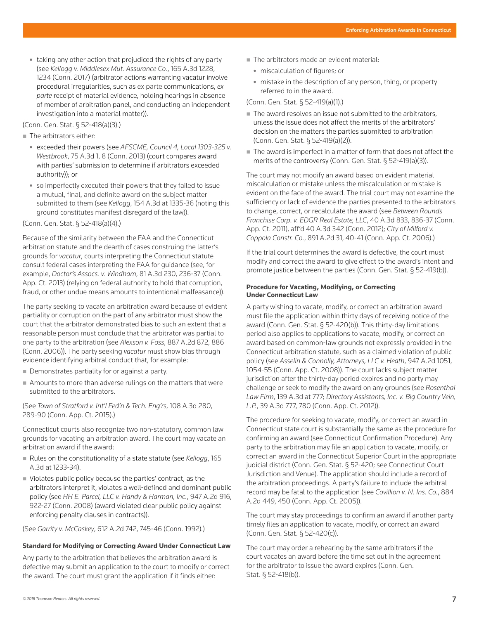• taking any other action that prejudiced the rights of any party (see *[Kellogg v. Middlesex Mut. Assurance Co.](http://www.westlaw.com/Link/Document/FullText?findType=Y&serNum=2042371558&pubNum=0007691&originatingDoc=I6200884823a411e89bf099c0ee06c731&refType=RP&fi=co_pp_sp_7691_1234&originationContext=document&vr=3.0&rs=cblt1.0&transitionType=PLDocumentLink&billingHash=64420407C5BD2807A12938C055B0E4A92C7EF1F8BFA0FE2FBEF5BA8A379AE7D2&contextData=(sc.Search)#co_pp_sp_7691_1234)*, 165 A.3d 1228, [1234 \(Conn. 2017\)](http://www.westlaw.com/Link/Document/FullText?findType=Y&serNum=2042371558&pubNum=0007691&originatingDoc=I6200884823a411e89bf099c0ee06c731&refType=RP&fi=co_pp_sp_7691_1234&originationContext=document&vr=3.0&rs=cblt1.0&transitionType=PLDocumentLink&billingHash=64420407C5BD2807A12938C055B0E4A92C7EF1F8BFA0FE2FBEF5BA8A379AE7D2&contextData=(sc.Search)#co_pp_sp_7691_1234) (arbitrator actions warranting vacatur involve procedural irregularities, such as [ex parte](http://www.westlaw.com/Document/I0f9fe5e5ef0811e28578f7ccc38dcbee/View/FullText.html?originationContext=document&vr=3.0&rs=cblt1.0&transitionType=DocumentItem&contextData=(sc.Search)) communications, *ex parte* receipt of material evidence, holding hearings in absence of member of arbitration panel, and conducting an independent investigation into a material matter)).

[\(Conn. Gen. Stat. § 52-418\(a\)\(3\).](http://www.westlaw.com/Link/Document/FullText?findType=L&pubNum=1000264&cite=CTSTS52-418&originatingDoc=I6200884823a411e89bf099c0ee06c731&refType=SP&originationContext=document&vr=3.0&rs=cblt1.0&transitionType=PLDocumentLink&billingHash=0CDB30907BC4C85131BCA26FAD2AEAB909723F5DF57DFBEC9682ADC8DACC94F5&contextData=(sc.Search)#co_pp_8b3b0000958a4))

■ The arbitrators either:

- <sup>z</sup> exceeded their powers (see *[AFSCME, Council 4, Local 1303-325 v.](http://www.westlaw.com/Link/Document/FullText?findType=Y&serNum=2031290799&pubNum=0007691&originatingDoc=I6200884823a411e89bf099c0ee06c731&refType=RP&fi=co_pp_sp_7691_8&originationContext=document&vr=3.0&rs=cblt1.0&transitionType=PLDocumentLink&billingHash=A6DCCC13ACA624DB1E30D83967A4418F75D5513E5A4D0B8144E3B10399B99981&contextData=(sc.Search)#co_pp_sp_7691_8) Westbrook*[, 75 A.3d 1, 8 \(Conn. 2013\)](http://www.westlaw.com/Link/Document/FullText?findType=Y&serNum=2031290799&pubNum=0007691&originatingDoc=I6200884823a411e89bf099c0ee06c731&refType=RP&fi=co_pp_sp_7691_8&originationContext=document&vr=3.0&rs=cblt1.0&transitionType=PLDocumentLink&billingHash=A6DCCC13ACA624DB1E30D83967A4418F75D5513E5A4D0B8144E3B10399B99981&contextData=(sc.Search)#co_pp_sp_7691_8) (court compares award with parties' submission to determine if arbitrators exceeded authority)); or
- so imperfectly executed their powers that they failed to issue a mutual, final, and definite award on the subject matter submitted to them (see *Kellogg*, 154 A.3d at 1335-36 (noting this ground constitutes manifest disregard of the law)).

[\(Conn. Gen. Stat. § 52-418\(a\)\(4\).](http://www.westlaw.com/Link/Document/FullText?findType=L&pubNum=1000264&cite=CTSTS52-418&originatingDoc=I6200884823a411e89bf099c0ee06c731&refType=SP&originationContext=document&vr=3.0&rs=cblt1.0&transitionType=PLDocumentLink&billingHash=0CDB30907BC4C85131BCA26FAD2AEAB909723F5DF57DFBEC9682ADC8DACC94F5&contextData=(sc.Search)#co_pp_8b3b0000958a4))

Because of the similarity between the FAA and the Connecticut arbitration statute and the dearth of cases construing the latter's grounds for *vacatur*, courts interpreting the Connecticut statute consult federal cases interpreting the FAA for guidance (see, for example, *Doctor's Assocs. v. Windham*[, 81 A.3d 230, 236-37 \(Conn.](http://www.westlaw.com/Link/Document/FullText?findType=Y&serNum=2031979032&pubNum=0007691&originatingDoc=I6200884823a411e89bf099c0ee06c731&refType=RP&fi=co_pp_sp_7691_236&originationContext=document&vr=3.0&rs=cblt1.0&transitionType=PLDocumentLink&billingHash=FBA12000CB6C70777CD72DC3D22410C098B3E35181E950B5A6649065E2DF7D9A&contextData=(sc.Search)#co_pp_sp_7691_236)  [App. Ct. 2013\)](http://www.westlaw.com/Link/Document/FullText?findType=Y&serNum=2031979032&pubNum=0007691&originatingDoc=I6200884823a411e89bf099c0ee06c731&refType=RP&fi=co_pp_sp_7691_236&originationContext=document&vr=3.0&rs=cblt1.0&transitionType=PLDocumentLink&billingHash=FBA12000CB6C70777CD72DC3D22410C098B3E35181E950B5A6649065E2DF7D9A&contextData=(sc.Search)#co_pp_sp_7691_236) (relying on federal authority to hold that corruption, fraud, or other undue means amounts to intentional malfeasance)).

The party seeking to vacate an arbitration award because of evident partiality or corruption on the part of any arbitrator must show the court that the arbitrator demonstrated bias to such an extent that a reasonable person must conclude that the arbitrator was partial to one party to the arbitration (see *Alexson v. Foss*[, 887 A.2d 872, 886](http://www.westlaw.com/Link/Document/FullText?findType=Y&serNum=2008067615&pubNum=0000162&originatingDoc=I6200884823a411e89bf099c0ee06c731&refType=RP&fi=co_pp_sp_162_886&originationContext=document&vr=3.0&rs=cblt1.0&transitionType=PLDocumentLink&billingHash=D6396977FD2B38FA83B013982840E1DB4336A8A06CDA4CE862D0D3F1C8A40C66&contextData=(sc.Search)#co_pp_sp_162_886)  [\(Conn. 2006\)](http://www.westlaw.com/Link/Document/FullText?findType=Y&serNum=2008067615&pubNum=0000162&originatingDoc=I6200884823a411e89bf099c0ee06c731&refType=RP&fi=co_pp_sp_162_886&originationContext=document&vr=3.0&rs=cblt1.0&transitionType=PLDocumentLink&billingHash=D6396977FD2B38FA83B013982840E1DB4336A8A06CDA4CE862D0D3F1C8A40C66&contextData=(sc.Search)#co_pp_sp_162_886)). The party seeking *vacatur* must show bias through evidence identifying arbitral conduct that, for example:

- Demonstrates partiality for or against a party.
- Amounts to more than adverse rulings on the matters that were submitted to the arbitrators.

(See *[Town of Stratford v. Int'l Fed'n & Tech. Eng'rs](http://www.westlaw.com/Link/Document/FullText?findType=Y&serNum=2035338467&pubNum=0007691&originatingDoc=I6200884823a411e89bf099c0ee06c731&refType=RP&fi=co_pp_sp_7691_289&originationContext=document&vr=3.0&rs=cblt1.0&transitionType=PLDocumentLink&billingHash=EA133DED01569F7DC2F90300AA4B130806C092DCB8A59AA0822423E2E4762454&contextData=(sc.Search)#co_pp_sp_7691_289)*, 108 A.3d 280, [289-90 \(Conn. App. Ct. 2015\).](http://www.westlaw.com/Link/Document/FullText?findType=Y&serNum=2035338467&pubNum=0007691&originatingDoc=I6200884823a411e89bf099c0ee06c731&refType=RP&fi=co_pp_sp_7691_289&originationContext=document&vr=3.0&rs=cblt1.0&transitionType=PLDocumentLink&billingHash=EA133DED01569F7DC2F90300AA4B130806C092DCB8A59AA0822423E2E4762454&contextData=(sc.Search)#co_pp_sp_7691_289))

Connecticut courts also recognize two non-statutory, common law grounds for vacating an arbitration award. The court may vacate an arbitration award if the award:

- Rules on the constitutionality of a state statute (see *[Kellogg](http://www.westlaw.com/Link/Document/FullText?findType=Y&serNum=2042371558&pubNum=0007691&originatingDoc=I6200884823a411e89bf099c0ee06c731&refType=RP&fi=co_pp_sp_7691_1233&originationContext=document&vr=3.0&rs=cblt1.0&transitionType=PLDocumentLink&billingHash=64420407C5BD2807A12938C055B0E4A92C7EF1F8BFA0FE2FBEF5BA8A379AE7D2&contextData=(sc.Search)#co_pp_sp_7691_1233)*, 165 [A.3d at 1233-34\)](http://www.westlaw.com/Link/Document/FullText?findType=Y&serNum=2042371558&pubNum=0007691&originatingDoc=I6200884823a411e89bf099c0ee06c731&refType=RP&fi=co_pp_sp_7691_1233&originationContext=document&vr=3.0&rs=cblt1.0&transitionType=PLDocumentLink&billingHash=64420407C5BD2807A12938C055B0E4A92C7EF1F8BFA0FE2FBEF5BA8A379AE7D2&contextData=(sc.Search)#co_pp_sp_7691_1233).
- Violates public policy because the parties' contract, as the arbitrators interpret it, violates a well-defined and dominant public policy (see *[HH E. Parcel, LLC v. Handy & Harman, Inc.](http://www.westlaw.com/Link/Document/FullText?findType=Y&serNum=2016186367&pubNum=0000162&originatingDoc=I6200884823a411e89bf099c0ee06c731&refType=RP&fi=co_pp_sp_162_922&originationContext=document&vr=3.0&rs=cblt1.0&transitionType=PLDocumentLink&billingHash=92BCD2CDA61183F7D809390BAF0EF5E1AB07666A47DAF5FDDB358400D2B60560&contextData=(sc.Search)#co_pp_sp_162_922)*, 947 A.2d 916, [922-27 \(Conn. 2008\)](http://www.westlaw.com/Link/Document/FullText?findType=Y&serNum=2016186367&pubNum=0000162&originatingDoc=I6200884823a411e89bf099c0ee06c731&refType=RP&fi=co_pp_sp_162_922&originationContext=document&vr=3.0&rs=cblt1.0&transitionType=PLDocumentLink&billingHash=92BCD2CDA61183F7D809390BAF0EF5E1AB07666A47DAF5FDDB358400D2B60560&contextData=(sc.Search)#co_pp_sp_162_922) (award violated clear public policy against enforcing penalty clauses in contracts)).

(See *Garrity v. McCaskey*[, 612 A.2d 742, 745-46 \(Conn. 1992\)](http://www.westlaw.com/Link/Document/FullText?findType=Y&serNum=1992130177&pubNum=0000162&originatingDoc=I6200884823a411e89bf099c0ee06c731&refType=RP&fi=co_pp_sp_162_745&originationContext=document&vr=3.0&rs=cblt1.0&transitionType=PLDocumentLink&billingHash=ADC5E1A6BE1B6B3A23669730B275A372BCF70375C1D2DEDC1916E95E66F179C4&contextData=(sc.Search)#co_pp_sp_162_745).)

#### **Standard for Modifying or Correcting Award Under Connecticut Law**

Any party to the arbitration that believes the arbitration award is defective may submit an application to the court to modify or correct the award. The court must grant the application if it finds either:

- The arbitrators made an evident material:
	- miscalculation of figures; or
	- mistake in the description of any person, thing, or property referred to in the award.

([Conn. Gen. Stat. § 52-419\(a\)\(1\)](http://www.westlaw.com/Link/Document/FullText?findType=L&pubNum=1000264&cite=CTSTS52-419&originatingDoc=I6200884823a411e89bf099c0ee06c731&refType=SP&originationContext=document&vr=3.0&rs=cblt1.0&transitionType=PLDocumentLink&billingHash=097D31C2A7F4F51446ED460CF440AA948DCA8EF2FBF4B1049A29BB5E030FBA22&contextData=(sc.Search)#co_pp_8b3b0000958a4).)

- $\blacksquare$  The award resolves an issue not submitted to the arbitrators, unless the issue does not affect the merits of the arbitrators' decision on the matters the parties submitted to arbitration ([Conn. Gen. Stat. § 52-419\(a\)\(2\)](http://www.westlaw.com/Link/Document/FullText?findType=L&pubNum=1000264&cite=CTSTS52-419&originatingDoc=I6200884823a411e89bf099c0ee06c731&refType=SP&originationContext=document&vr=3.0&rs=cblt1.0&transitionType=PLDocumentLink&billingHash=097D31C2A7F4F51446ED460CF440AA948DCA8EF2FBF4B1049A29BB5E030FBA22&contextData=(sc.Search)#co_pp_8b3b0000958a4)).
- The award is imperfect in a matter of form that does not affect the merits of the controversy ([Conn. Gen. Stat. § 52-419\(a\)\(3\)](http://www.westlaw.com/Link/Document/FullText?findType=L&pubNum=1000264&cite=CTSTS52-419&originatingDoc=I6200884823a411e89bf099c0ee06c731&refType=SP&originationContext=document&vr=3.0&rs=cblt1.0&transitionType=PLDocumentLink&billingHash=097D31C2A7F4F51446ED460CF440AA948DCA8EF2FBF4B1049A29BB5E030FBA22&contextData=(sc.Search)#co_pp_8b3b0000958a4)).

The court may not modify an award based on evident material miscalculation or mistake unless the miscalculation or mistake is evident on the face of the award. The trial court may not examine the sufficiency or lack of evidence the parties presented to the arbitrators to change, correct, or recalculate the award (see *[Between Rounds](http://www.westlaw.com/Link/Document/FullText?findType=Y&serNum=2027531795&pubNum=0007691&originatingDoc=I6200884823a411e89bf099c0ee06c731&refType=RP&fi=co_pp_sp_7691_836&originationContext=document&vr=3.0&rs=cblt1.0&transitionType=PLDocumentLink&billingHash=3497D64F52251904616CC4ADAF045EDC47BFB3A00D150D7331263FE55A7D04A0&contextData=(sc.Search)#co_pp_sp_7691_836)  [Franchise Corp. v. EDGR Real Estate, LLC](http://www.westlaw.com/Link/Document/FullText?findType=Y&serNum=2027531795&pubNum=0007691&originatingDoc=I6200884823a411e89bf099c0ee06c731&refType=RP&fi=co_pp_sp_7691_836&originationContext=document&vr=3.0&rs=cblt1.0&transitionType=PLDocumentLink&billingHash=3497D64F52251904616CC4ADAF045EDC47BFB3A00D150D7331263FE55A7D04A0&contextData=(sc.Search)#co_pp_sp_7691_836)*, 40 A.3d 833, 836-37 (Conn. [App. Ct. 2011\),](http://www.westlaw.com/Link/Document/FullText?findType=Y&serNum=2027531795&pubNum=0007691&originatingDoc=I6200884823a411e89bf099c0ee06c731&refType=RP&fi=co_pp_sp_7691_836&originationContext=document&vr=3.0&rs=cblt1.0&transitionType=PLDocumentLink&billingHash=3497D64F52251904616CC4ADAF045EDC47BFB3A00D150D7331263FE55A7D04A0&contextData=(sc.Search)#co_pp_sp_7691_836) aff'd [40 A.3d 342 \(Conn. 2012\)](http://www.westlaw.com/Link/Document/FullText?findType=Y&serNum=2027482511&pubNum=0007691&originatingDoc=I6200884823a411e89bf099c0ee06c731&refType=RP&originationContext=document&vr=3.0&rs=cblt1.0&transitionType=PLDocumentLink&billingHash=364214A4BBBE577249722F01F6B428D31C4047008176C4BE77161A7A4FB77BAF&contextData=(sc.Search)); *[City of Milford v.](http://www.westlaw.com/Link/Document/FullText?findType=Y&serNum=2008379620&pubNum=0000162&originatingDoc=I6200884823a411e89bf099c0ee06c731&refType=RP&fi=co_pp_sp_162_40&originationContext=document&vr=3.0&rs=cblt1.0&transitionType=PLDocumentLink&billingHash=D26A2B14D7DDD164A2B900771A20353B50D6EB39CF67F363C92CF8CCF751F994&contextData=(sc.Search)#co_pp_sp_162_40)  Coppola Constr. Co.*[, 891 A.2d 31, 40-41 \(Conn. App. Ct. 2006\)](http://www.westlaw.com/Link/Document/FullText?findType=Y&serNum=2008379620&pubNum=0000162&originatingDoc=I6200884823a411e89bf099c0ee06c731&refType=RP&fi=co_pp_sp_162_40&originationContext=document&vr=3.0&rs=cblt1.0&transitionType=PLDocumentLink&billingHash=D26A2B14D7DDD164A2B900771A20353B50D6EB39CF67F363C92CF8CCF751F994&contextData=(sc.Search)#co_pp_sp_162_40).)

If the trial court determines the award is defective, the court must modify and correct the award to give effect to the award's intent and promote justice between the parties [\(Conn. Gen. Stat. § 52-419\(b\)](http://www.westlaw.com/Link/Document/FullText?findType=L&pubNum=1000264&cite=CTSTS52-419&originatingDoc=I6200884823a411e89bf099c0ee06c731&refType=SP&originationContext=document&vr=3.0&rs=cblt1.0&transitionType=PLDocumentLink&billingHash=097D31C2A7F4F51446ED460CF440AA948DCA8EF2FBF4B1049A29BB5E030FBA22&contextData=(sc.Search)#co_pp_a83b000018c76)).

#### **Procedure for Vacating, Modifying, or Correcting Under Connecticut Law**

A party wishing to vacate, modify, or correct an arbitration award must file the application within thirty days of receiving notice of the award ([Conn. Gen. Stat. § 52-420\(b\)](http://www.westlaw.com/Link/Document/FullText?findType=L&pubNum=1000264&cite=CTSTS52-420&originatingDoc=I6200884823a411e89bf099c0ee06c731&refType=SP&originationContext=document&vr=3.0&rs=cblt1.0&transitionType=PLDocumentLink&billingHash=D88DF548218F244793B5DD57E1E1EB6941F499E33874BA1DCE261D045EDD37E3&contextData=(sc.Search)#co_pp_a83b000018c76)). This thirty-day limitations period also applies to applications to vacate, modify, or correct an award based on common-law grounds not expressly provided in the Connecticut arbitration statute, such as a claimed violation of public policy (see *[Asselin & Connolly, Attorneys, LLC v. Heath](http://www.westlaw.com/Link/Document/FullText?findType=Y&serNum=2016243980&pubNum=0000162&originatingDoc=I6200884823a411e89bf099c0ee06c731&refType=RP&fi=co_pp_sp_162_1054&originationContext=document&vr=3.0&rs=cblt1.0&transitionType=PLDocumentLink&billingHash=E3C8E13353DECE8D35CB657BA70614C5C15FB8F252D0D4D948CCD165442AA5EC&contextData=(sc.Search)#co_pp_sp_162_1054)*, 947 A.2d 1051, [1054-55 \(Conn. App. Ct. 2008\)\)](http://www.westlaw.com/Link/Document/FullText?findType=Y&serNum=2016243980&pubNum=0000162&originatingDoc=I6200884823a411e89bf099c0ee06c731&refType=RP&fi=co_pp_sp_162_1054&originationContext=document&vr=3.0&rs=cblt1.0&transitionType=PLDocumentLink&billingHash=E3C8E13353DECE8D35CB657BA70614C5C15FB8F252D0D4D948CCD165442AA5EC&contextData=(sc.Search)#co_pp_sp_162_1054). The court lacks subject matter jurisdiction after the thirty-day period expires and no party may challenge or seek to modify the award on any grounds (see *[Rosenthal](http://www.westlaw.com/Link/Document/FullText?findType=Y&serNum=2038780661&pubNum=0007691&originatingDoc=I6200884823a411e89bf099c0ee06c731&refType=RP&fi=co_pp_sp_7691_777&originationContext=document&vr=3.0&rs=cblt1.0&transitionType=PLDocumentLink&billingHash=92DB1AA35626DB1DB4CD57D4F62491FE92D973BD796E1DFFD12B0221EF638DE6&contextData=(sc.Search)#co_pp_sp_7691_777)  Law Firm*[, 139 A.3d at 777;](http://www.westlaw.com/Link/Document/FullText?findType=Y&serNum=2038780661&pubNum=0007691&originatingDoc=I6200884823a411e89bf099c0ee06c731&refType=RP&fi=co_pp_sp_7691_777&originationContext=document&vr=3.0&rs=cblt1.0&transitionType=PLDocumentLink&billingHash=92DB1AA35626DB1DB4CD57D4F62491FE92D973BD796E1DFFD12B0221EF638DE6&contextData=(sc.Search)#co_pp_sp_7691_777) *[Directory Assistants, Inc. v. Big Country Vein,](http://www.westlaw.com/Link/Document/FullText?findType=Y&serNum=2027338079&pubNum=0007691&originatingDoc=I6200884823a411e89bf099c0ee06c731&refType=RP&fi=co_pp_sp_7691_780&originationContext=document&vr=3.0&rs=cblt1.0&transitionType=PLDocumentLink&billingHash=E451DEC0F612352F5B303EEA16886C6E80A420E60A68B2E9B97BC7D0C6D4A23C&contextData=(sc.Search)#co_pp_sp_7691_780)  L.P.*[, 39 A.3d 777, 780 \(Conn. App. Ct. 2012\)](http://www.westlaw.com/Link/Document/FullText?findType=Y&serNum=2027338079&pubNum=0007691&originatingDoc=I6200884823a411e89bf099c0ee06c731&refType=RP&fi=co_pp_sp_7691_780&originationContext=document&vr=3.0&rs=cblt1.0&transitionType=PLDocumentLink&billingHash=E451DEC0F612352F5B303EEA16886C6E80A420E60A68B2E9B97BC7D0C6D4A23C&contextData=(sc.Search)#co_pp_sp_7691_780)).

The procedure for seeking to vacate, modify, or correct an award in Connecticut state court is substantially the same as the procedure for confirming an award (see [Connecticut Confirmation Procedure](file:///Volumes/composition/Data/Incoming/Thomson%20Reuter/2018/041918/#co_anchor_a000020_1)). Any party to the arbitration may file an application to vacate, modify, or correct an award in the Connecticut Superior Court in the appropriate judicial district [\(Conn. Gen. Stat. § 52-420](http://www.westlaw.com/Link/Document/FullText?findType=L&pubNum=1000264&cite=CTSTS52-420&originatingDoc=I6200884823a411e89bf099c0ee06c731&refType=LQ&originationContext=document&vr=3.0&rs=cblt1.0&transitionType=PLDocumentLink&billingHash=D88DF548218F244793B5DD57E1E1EB6941F499E33874BA1DCE261D045EDD37E3&contextData=(sc.Search)); see [Connecticut Court](file:///Volumes/composition/Data/Incoming/Thomson%20Reuter/2018/041918/#co_anchor_a000018_1)  [Jurisdiction and Venue](file:///Volumes/composition/Data/Incoming/Thomson%20Reuter/2018/041918/#co_anchor_a000018_1)). The application should include a record of the arbitration proceedings. A party's failure to include the arbitral record may be fatal to the application (see *[Covillion v. N. Ins. Co.](http://www.westlaw.com/Link/Document/FullText?findType=Y&serNum=2007616563&pubNum=0000162&originatingDoc=I6200884823a411e89bf099c0ee06c731&refType=RP&fi=co_pp_sp_162_450&originationContext=document&vr=3.0&rs=cblt1.0&transitionType=PLDocumentLink&billingHash=0CFFE6B2234F87395235D0683CEB8824BD012DE9934A5468D92A465C8B4EF25C&contextData=(sc.Search)#co_pp_sp_162_450)*, 884 [A.2d 449, 450 \(Conn. App. Ct. 2005\)\)](http://www.westlaw.com/Link/Document/FullText?findType=Y&serNum=2007616563&pubNum=0000162&originatingDoc=I6200884823a411e89bf099c0ee06c731&refType=RP&fi=co_pp_sp_162_450&originationContext=document&vr=3.0&rs=cblt1.0&transitionType=PLDocumentLink&billingHash=0CFFE6B2234F87395235D0683CEB8824BD012DE9934A5468D92A465C8B4EF25C&contextData=(sc.Search)#co_pp_sp_162_450).

The court may stay proceedings to confirm an award if another party timely files an application to vacate, modify, or correct an award ([Conn. Gen. Stat. § 52-420\(c\)](http://www.westlaw.com/Link/Document/FullText?findType=L&pubNum=1000264&cite=CTSTS52-420&originatingDoc=I6200884823a411e89bf099c0ee06c731&refType=SP&originationContext=document&vr=3.0&rs=cblt1.0&transitionType=PLDocumentLink&billingHash=D88DF548218F244793B5DD57E1E1EB6941F499E33874BA1DCE261D045EDD37E3&contextData=(sc.Search)#co_pp_4b24000003ba5)).

The court may order a rehearing by the same arbitrators if the court vacates an award before the time set out in the agreement for the arbitrator to issue the award expires [\(Conn. Gen.](http://www.westlaw.com/Link/Document/FullText?findType=L&pubNum=1000264&cite=CTSTS52-418&originatingDoc=I6200884823a411e89bf099c0ee06c731&refType=SP&originationContext=document&vr=3.0&rs=cblt1.0&transitionType=PLDocumentLink&billingHash=0CDB30907BC4C85131BCA26FAD2AEAB909723F5DF57DFBEC9682ADC8DACC94F5&contextData=(sc.Search)#co_pp_a83b000018c76)  [Stat. § 52-418\(b\)](http://www.westlaw.com/Link/Document/FullText?findType=L&pubNum=1000264&cite=CTSTS52-418&originatingDoc=I6200884823a411e89bf099c0ee06c731&refType=SP&originationContext=document&vr=3.0&rs=cblt1.0&transitionType=PLDocumentLink&billingHash=0CDB30907BC4C85131BCA26FAD2AEAB909723F5DF57DFBEC9682ADC8DACC94F5&contextData=(sc.Search)#co_pp_a83b000018c76)).